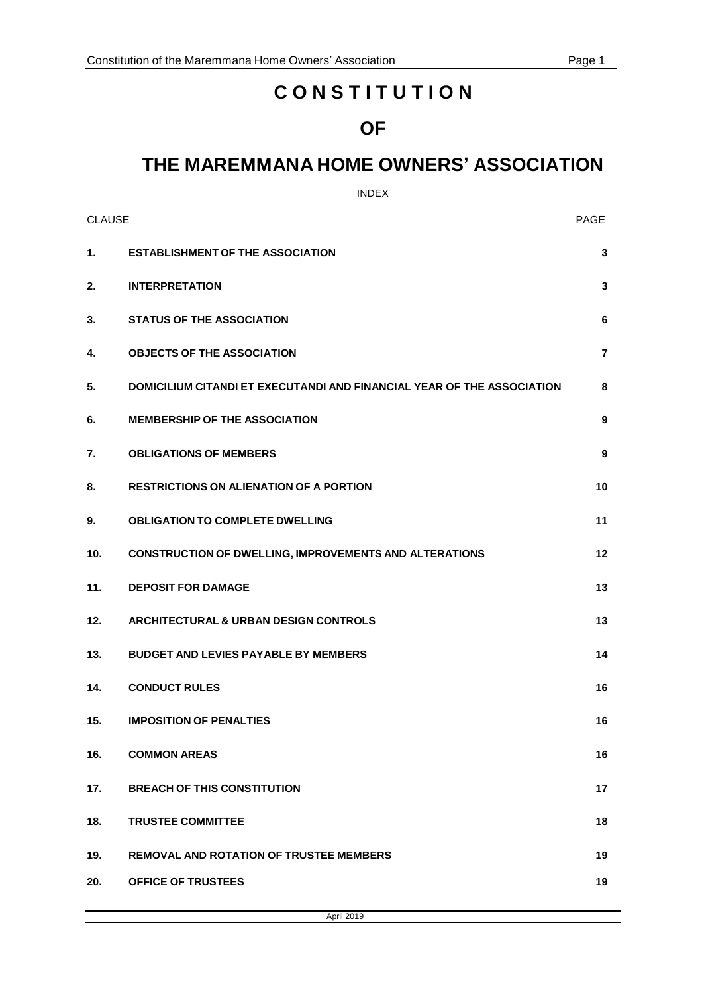# **C O N S T I T U T I O N**

## **OF**

# **THE MAREMMANA HOME OWNERS' ASSOCIATION**

## INDEX

| <b>CLAUSE</b> |                                                                        | <b>PAGE</b>    |
|---------------|------------------------------------------------------------------------|----------------|
| 1.            | <b>ESTABLISHMENT OF THE ASSOCIATION</b>                                | 3              |
| 2.            | <b>INTERPRETATION</b>                                                  | 3              |
| 3.            | <b>STATUS OF THE ASSOCIATION</b>                                       | 6              |
| 4.            | <b>OBJECTS OF THE ASSOCIATION</b>                                      | $\overline{7}$ |
| 5.            | DOMICILIUM CITANDI ET EXECUTANDI AND FINANCIAL YEAR OF THE ASSOCIATION | 8              |
| 6.            | <b>MEMBERSHIP OF THE ASSOCIATION</b>                                   | 9              |
| 7.            | <b>OBLIGATIONS OF MEMBERS</b>                                          | 9              |
| 8.            | <b>RESTRICTIONS ON ALIENATION OF A PORTION</b>                         | 10             |
| 9.            | <b>OBLIGATION TO COMPLETE DWELLING</b>                                 | 11             |
| 10.           | <b>CONSTRUCTION OF DWELLING, IMPROVEMENTS AND ALTERATIONS</b>          | 12             |
| 11.           | <b>DEPOSIT FOR DAMAGE</b>                                              | 13             |
| 12.           | <b>ARCHITECTURAL &amp; URBAN DESIGN CONTROLS</b>                       | 13             |
| 13.           | <b>BUDGET AND LEVIES PAYABLE BY MEMBERS</b>                            | 14             |
| 14.           | <b>CONDUCT RULES</b>                                                   | 16             |
| 15.           | <b>IMPOSITION OF PENALTIES</b>                                         | 16             |
| 16.           | <b>COMMON AREAS</b>                                                    | 16             |
| 17.           | <b>BREACH OF THIS CONSTITUTION</b>                                     | 17             |
| 18.           | <b>TRUSTEE COMMITTEE</b>                                               | 18             |
| 19.           | <b>REMOVAL AND ROTATION OF TRUSTEE MEMBERS</b>                         | 19             |
| 20.           | <b>OFFICE OF TRUSTEES</b>                                              | 19             |

April 2019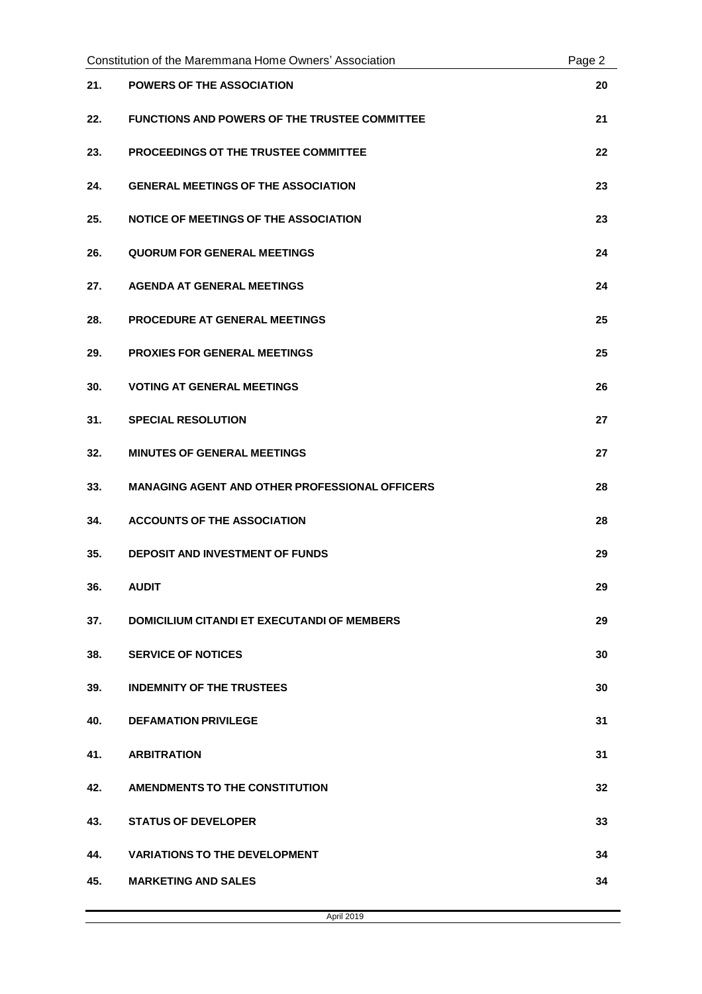| Constitution of the Maremmana Home Owners' Association |                                                       | Page 2 |
|--------------------------------------------------------|-------------------------------------------------------|--------|
| 21.                                                    | <b>POWERS OF THE ASSOCIATION</b>                      | 20     |
| 22.                                                    | <b>FUNCTIONS AND POWERS OF THE TRUSTEE COMMITTEE</b>  | 21     |
| 23.                                                    | PROCEEDINGS OT THE TRUSTEE COMMITTEE                  | 22     |
| 24.                                                    | <b>GENERAL MEETINGS OF THE ASSOCIATION</b>            | 23     |
| 25.                                                    | <b>NOTICE OF MEETINGS OF THE ASSOCIATION</b>          | 23     |
| 26.                                                    | <b>QUORUM FOR GENERAL MEETINGS</b>                    | 24     |
| 27.                                                    | <b>AGENDA AT GENERAL MEETINGS</b>                     | 24     |
| 28.                                                    | PROCEDURE AT GENERAL MEETINGS                         | 25     |
| 29.                                                    | <b>PROXIES FOR GENERAL MEETINGS</b>                   | 25     |
| 30.                                                    | <b>VOTING AT GENERAL MEETINGS</b>                     | 26     |
| 31.                                                    | <b>SPECIAL RESOLUTION</b>                             | 27     |
| 32.                                                    | <b>MINUTES OF GENERAL MEETINGS</b>                    | 27     |
| 33.                                                    | <b>MANAGING AGENT AND OTHER PROFESSIONAL OFFICERS</b> | 28     |
| 34.                                                    | <b>ACCOUNTS OF THE ASSOCIATION</b>                    | 28     |
| 35.                                                    | <b>DEPOSIT AND INVESTMENT OF FUNDS</b>                | 29     |
| 36.                                                    | <b>AUDIT</b>                                          | 29     |
| 37.                                                    | <b>DOMICILIUM CITANDI ET EXECUTANDI OF MEMBERS</b>    | 29     |
| 38.                                                    | <b>SERVICE OF NOTICES</b>                             | 30     |
| 39.                                                    | <b>INDEMNITY OF THE TRUSTEES</b>                      | 30     |
| 40.                                                    | <b>DEFAMATION PRIVILEGE</b>                           | 31     |
| 41.                                                    | <b>ARBITRATION</b>                                    | 31     |
| 42.                                                    | <b>AMENDMENTS TO THE CONSTITUTION</b>                 | 32     |
| 43.                                                    | <b>STATUS OF DEVELOPER</b>                            | 33     |
| 44.                                                    | <b>VARIATIONS TO THE DEVELOPMENT</b>                  | 34     |
| 45.                                                    | <b>MARKETING AND SALES</b>                            | 34     |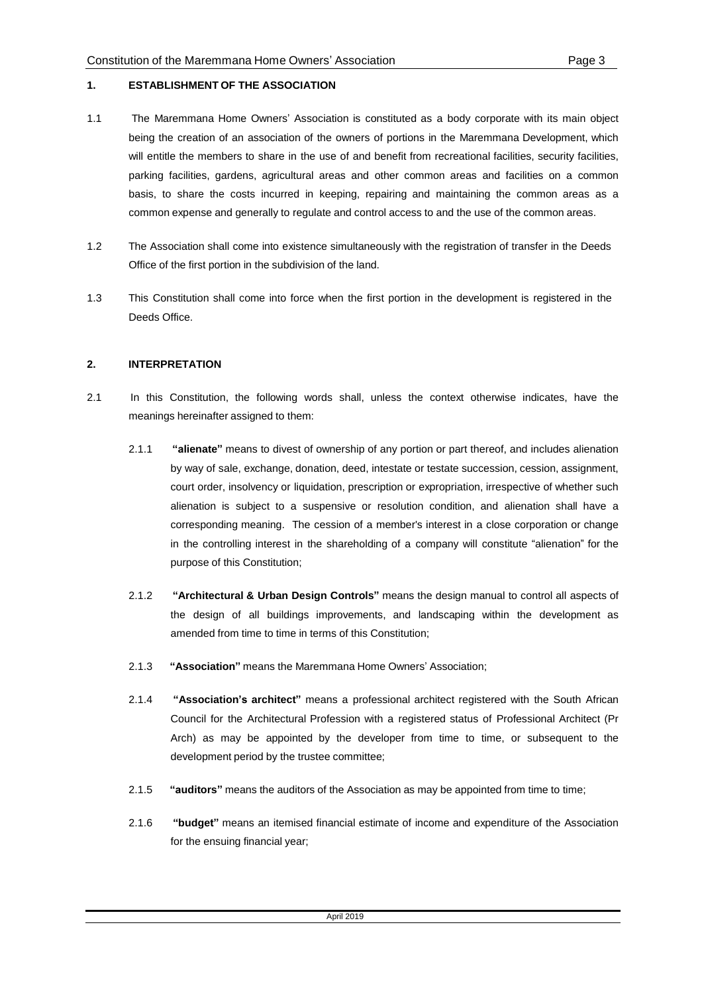#### **1. ESTABLISHMENT OF THE ASSOCIATION**

- 1.1 The Maremmana Home Owners' Association is constituted as a body corporate with its main object being the creation of an association of the owners of portions in the Maremmana Development, which will entitle the members to share in the use of and benefit from recreational facilities, security facilities, parking facilities, gardens, agricultural areas and other common areas and facilities on a common basis, to share the costs incurred in keeping, repairing and maintaining the common areas as a common expense and generally to regulate and control access to and the use of the common areas.
- 1.2 The Association shall come into existence simultaneously with the registration of transfer in the Deeds Office of the first portion in the subdivision of the land.
- 1.3 This Constitution shall come into force when the first portion in the development is registered in the Deeds Office.

#### **2. INTERPRETATION**

- 2.1 In this Constitution, the following words shall, unless the context otherwise indicates, have the meanings hereinafter assigned to them:
	- 2.1.1 **"alienate"** means to divest of ownership of any portion or part thereof, and includes alienation by way of sale, exchange, donation, deed, intestate or testate succession, cession, assignment, court order, insolvency or liquidation, prescription or expropriation, irrespective of whether such alienation is subject to a suspensive or resolution condition, and alienation shall have a corresponding meaning. The cession of a member's interest in a close corporation or change in the controlling interest in the shareholding of a company will constitute "alienation" for the purpose of this Constitution;
	- 2.1.2 **"Architectural & Urban Design Controls"** means the design manual to control all aspects of the design of all buildings improvements, and landscaping within the development as amended from time to time in terms of this Constitution;
	- 2.1.3 **"Association"** means the Maremmana Home Owners' Association;
	- 2.1.4 **"Association's architect"** means a professional architect registered with the South African Council for the Architectural Profession with a registered status of Professional Architect (Pr Arch) as may be appointed by the developer from time to time, or subsequent to the development period by the trustee committee;
	- 2.1.5 **"auditors"** means the auditors of the Association as may be appointed from time to time;
	- 2.1.6 **"budget"** means an itemised financial estimate of income and expenditure of the Association for the ensuing financial year;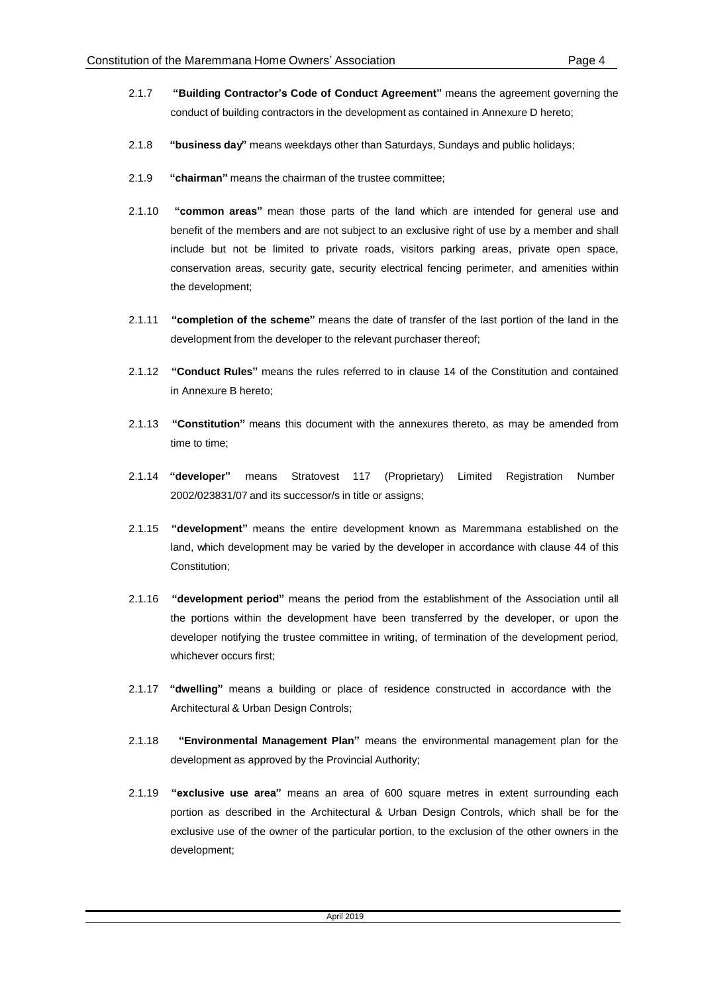- 2.1.7 **"Building Contractor's Code of Conduct Agreement"** means the agreement governing the conduct of building contractors in the development as contained in Annexure D hereto;
- 2.1.8 **"business day"** means weekdays other than Saturdays, Sundays and public holidays;
- 2.1.9 **"chairman"** means the chairman of the trustee committee;
- 2.1.10 **"common areas"** mean those parts of the land which are intended for general use and benefit of the members and are not subject to an exclusive right of use by a member and shall include but not be limited to private roads, visitors parking areas, private open space, conservation areas, security gate, security electrical fencing perimeter, and amenities within the development;
- 2.1.11 **"completion of the scheme"** means the date of transfer of the last portion of the land in the development from the developer to the relevant purchaser thereof;
- 2.1.12 **"Conduct Rules"** means the rules referred to in clause 14 of the Constitution and contained in Annexure B hereto;
- 2.1.13 **"Constitution"** means this document with the annexures thereto, as may be amended from time to time;
- 2.1.14 **"developer"** means Stratovest 117 (Proprietary) Limited Registration Number 2002/023831/07 and its successor/s in title or assigns;
- 2.1.15 **"development"** means the entire development known as Maremmana established on the land, which development may be varied by the developer in accordance with clause 44 of this Constitution;
- 2.1.16 **"development period"** means the period from the establishment of the Association until all the portions within the development have been transferred by the developer, or upon the developer notifying the trustee committee in writing, of termination of the development period, whichever occurs first;
- 2.1.17 **"dwelling"** means a building or place of residence constructed in accordance with the Architectural & Urban Design Controls;
- 2.1.18 **"Environmental Management Plan"** means the environmental management plan for the development as approved by the Provincial Authority;
- 2.1.19 **"exclusive use area"** means an area of 600 square metres in extent surrounding each portion as described in the Architectural & Urban Design Controls, which shall be for the exclusive use of the owner of the particular portion, to the exclusion of the other owners in the development;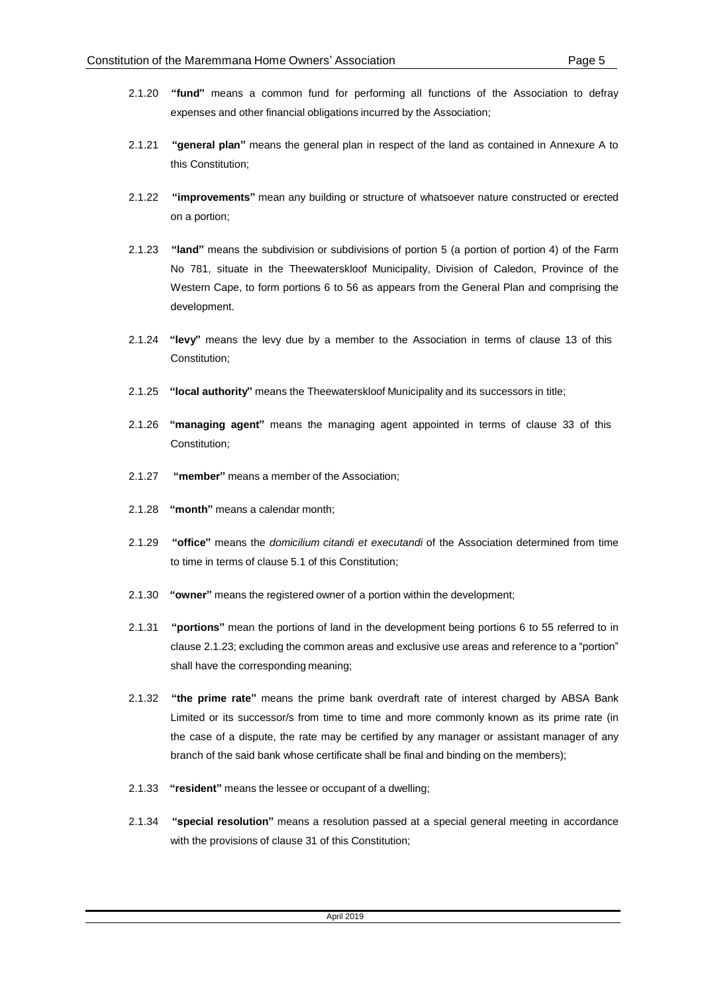- 
- 2.1.20 **"fund"** means a common fund for performing all functions of the Association to defray expenses and other financial obligations incurred by the Association;
- 2.1.21 **"general plan"** means the general plan in respect of the land as contained in Annexure A to this Constitution;
- 2.1.22 **"improvements"** mean any building or structure of whatsoever nature constructed or erected on a portion;
- 2.1.23 **"land"** means the subdivision or subdivisions of portion 5 (a portion of portion 4) of the Farm No 781, situate in the Theewaterskloof Municipality, Division of Caledon, Province of the Western Cape, to form portions 6 to 56 as appears from the General Plan and comprising the development.
- 2.1.24 **"levy"** means the levy due by a member to the Association in terms of clause 13 of this Constitution;
- 2.1.25 **"local authority"** means the Theewaterskloof Municipality and its successors in title;
- 2.1.26 **"managing agent"** means the managing agent appointed in terms of clause 33 of this Constitution;
- 2.1.27 **"member"** means a member of the Association;
- 2.1.28 **"month"** means a calendar month;
- 2.1.29 **"office"** means the *domicilium citandi et executandi* of the Association determined from time to time in terms of clause 5.1 of this Constitution;
- 2.1.30 **"owner"** means the registered owner of a portion within the development;
- 2.1.31 **"portions"** mean the portions of land in the development being portions 6 to 55 referred to in clause 2.1.23; excluding the common areas and exclusive use areas and reference to a "portion" shall have the corresponding meaning;
- 2.1.32 **"the prime rate"** means the prime bank overdraft rate of interest charged by ABSA Bank Limited or its successor/s from time to time and more commonly known as its prime rate (in the case of a dispute, the rate may be certified by any manager or assistant manager of any branch of the said bank whose certificate shall be final and binding on the members);
- 2.1.33 **"resident"** means the lessee or occupant of a dwelling;
- 2.1.34 **"special resolution"** means a resolution passed at a special general meeting in accordance with the provisions of clause 31 of this Constitution;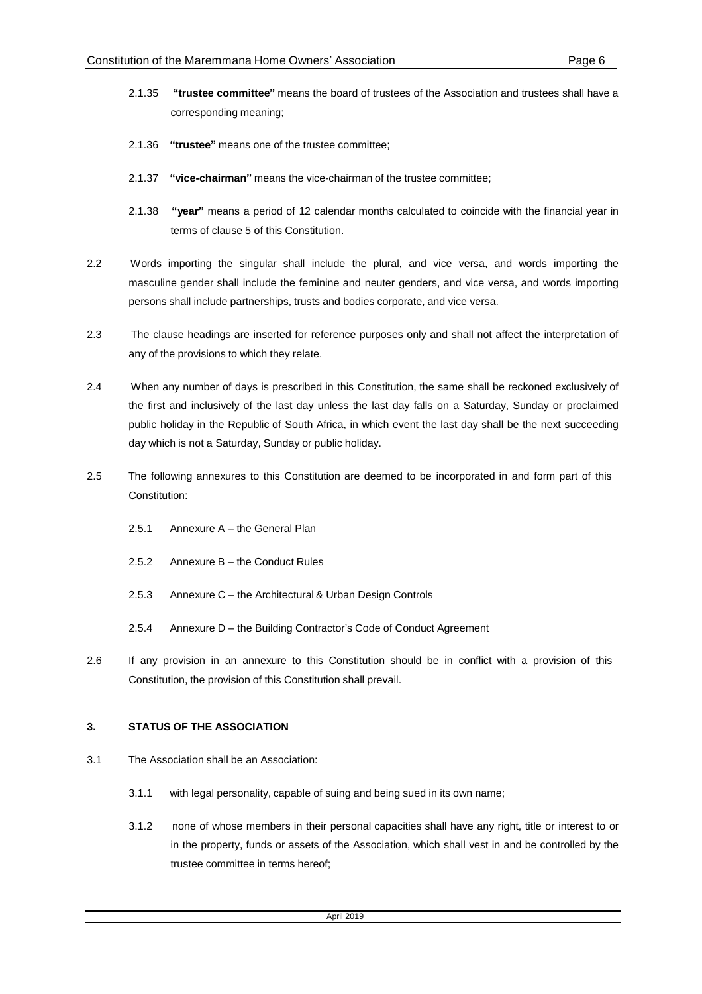- 2.1.35 **"trustee committee"** means the board of trustees of the Association and trustees shall have a corresponding meaning;
- 2.1.36 **"trustee"** means one of the trustee committee;
- 2.1.37 **"vice-chairman"** means the vice-chairman of the trustee committee;
- 2.1.38 **"year"** means a period of 12 calendar months calculated to coincide with the financial year in terms of clause 5 of this Constitution.
- 2.2 Words importing the singular shall include the plural, and vice versa, and words importing the masculine gender shall include the feminine and neuter genders, and vice versa, and words importing persons shall include partnerships, trusts and bodies corporate, and vice versa.
- 2.3 The clause headings are inserted for reference purposes only and shall not affect the interpretation of any of the provisions to which they relate.
- 2.4 When any number of days is prescribed in this Constitution, the same shall be reckoned exclusively of the first and inclusively of the last day unless the last day falls on a Saturday, Sunday or proclaimed public holiday in the Republic of South Africa, in which event the last day shall be the next succeeding day which is not a Saturday, Sunday or public holiday.
- 2.5 The following annexures to this Constitution are deemed to be incorporated in and form part of this Constitution:
	- 2.5.1 Annexure A the General Plan
	- 2.5.2 Annexure B the Conduct Rules
	- 2.5.3 Annexure C the Architectural & Urban Design Controls
	- 2.5.4 Annexure D the Building Contractor's Code of Conduct Agreement
- 2.6 If any provision in an annexure to this Constitution should be in conflict with a provision of this Constitution, the provision of this Constitution shall prevail.

#### **3. STATUS OF THE ASSOCIATION**

- 3.1 The Association shall be an Association:
	- 3.1.1 with legal personality, capable of suing and being sued in its own name;
	- 3.1.2 none of whose members in their personal capacities shall have any right, title or interest to or in the property, funds or assets of the Association, which shall vest in and be controlled by the trustee committee in terms hereof;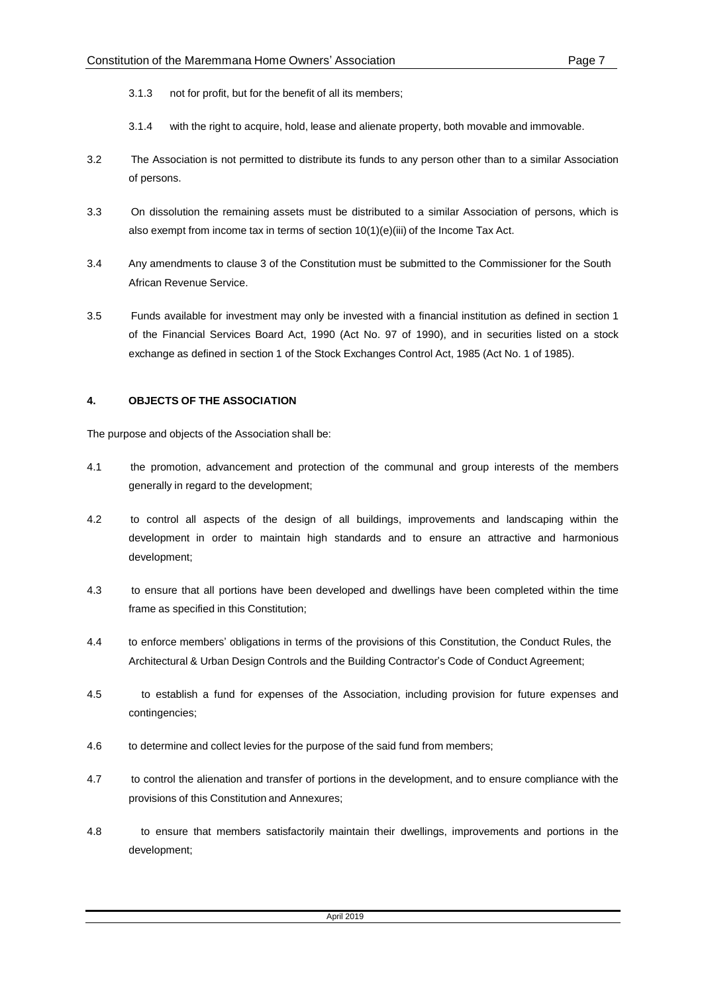- 3.1.3 not for profit, but for the benefit of all its members;
- 3.1.4 with the right to acquire, hold, lease and alienate property, both movable and immovable.
- 3.2 The Association is not permitted to distribute its funds to any person other than to a similar Association of persons.
- 3.3 On dissolution the remaining assets must be distributed to a similar Association of persons, which is also exempt from income tax in terms of section  $10(1)(e)(iii)$  of the Income Tax Act.
- 3.4 Any amendments to clause 3 of the Constitution must be submitted to the Commissioner for the South African Revenue Service.
- 3.5 Funds available for investment may only be invested with a financial institution as defined in section 1 of the Financial Services Board Act, 1990 (Act No. 97 of 1990), and in securities listed on a stock exchange as defined in section 1 of the Stock Exchanges Control Act, 1985 (Act No. 1 of 1985).

## **4. OBJECTS OF THE ASSOCIATION**

The purpose and objects of the Association shall be:

- 4.1 the promotion, advancement and protection of the communal and group interests of the members generally in regard to the development;
- 4.2 to control all aspects of the design of all buildings, improvements and landscaping within the development in order to maintain high standards and to ensure an attractive and harmonious development;
- 4.3 to ensure that all portions have been developed and dwellings have been completed within the time frame as specified in this Constitution;
- 4.4 to enforce members' obligations in terms of the provisions of this Constitution, the Conduct Rules, the Architectural & Urban Design Controls and the Building Contractor's Code of Conduct Agreement;
- 4.5 to establish a fund for expenses of the Association, including provision for future expenses and contingencies;
- 4.6 to determine and collect levies for the purpose of the said fund from members;
- 4.7 to control the alienation and transfer of portions in the development, and to ensure compliance with the provisions of this Constitution and Annexures;
- 4.8 to ensure that members satisfactorily maintain their dwellings, improvements and portions in the development;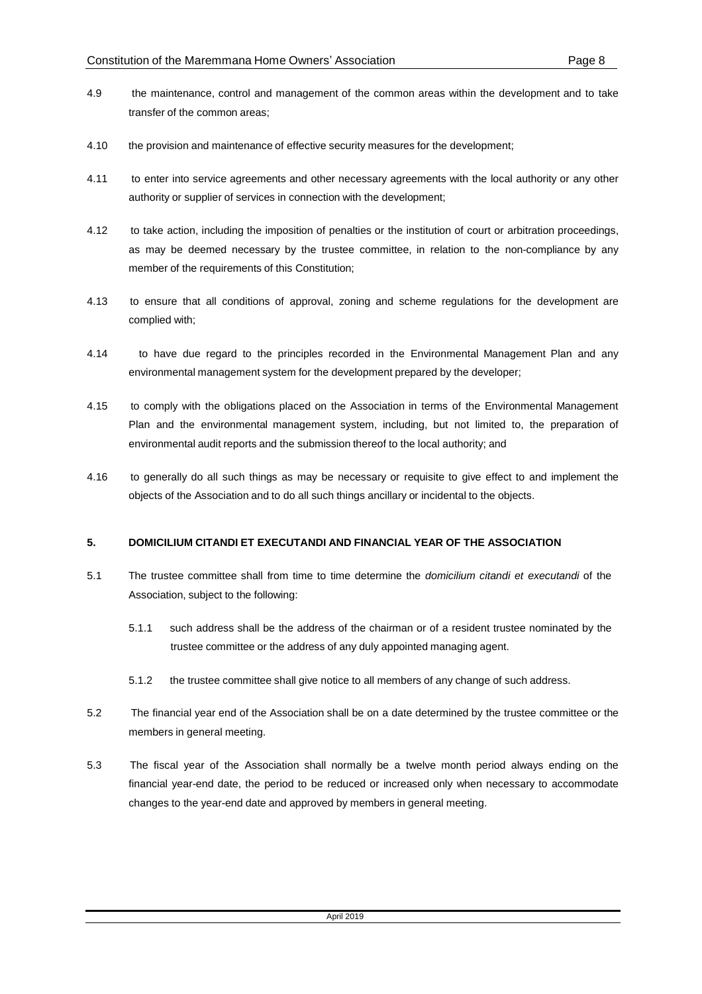- 4.9 the maintenance, control and management of the common areas within the development and to take transfer of the common areas;
- 4.10 the provision and maintenance of effective security measures for the development;
- 4.11 to enter into service agreements and other necessary agreements with the local authority or any other authority or supplier of services in connection with the development;
- 4.12 to take action, including the imposition of penalties or the institution of court or arbitration proceedings, as may be deemed necessary by the trustee committee, in relation to the non-compliance by any member of the requirements of this Constitution;
- 4.13 to ensure that all conditions of approval, zoning and scheme regulations for the development are complied with;
- 4.14 to have due regard to the principles recorded in the Environmental Management Plan and any environmental management system for the development prepared by the developer;
- 4.15 to comply with the obligations placed on the Association in terms of the Environmental Management Plan and the environmental management system, including, but not limited to, the preparation of environmental audit reports and the submission thereof to the local authority; and
- 4.16 to generally do all such things as may be necessary or requisite to give effect to and implement the objects of the Association and to do all such things ancillary or incidental to the objects.

## **5. DOMICILIUM CITANDI ET EXECUTANDI AND FINANCIAL YEAR OF THE ASSOCIATION**

- 5.1 The trustee committee shall from time to time determine the *domicilium citandi et executandi* of the Association, subject to the following:
	- 5.1.1 such address shall be the address of the chairman or of a resident trustee nominated by the trustee committee or the address of any duly appointed managing agent.
	- 5.1.2 the trustee committee shall give notice to all members of any change of such address.
- 5.2 The financial year end of the Association shall be on a date determined by the trustee committee or the members in general meeting.
- 5.3 The fiscal year of the Association shall normally be a twelve month period always ending on the financial year-end date, the period to be reduced or increased only when necessary to accommodate changes to the year-end date and approved by members in general meeting.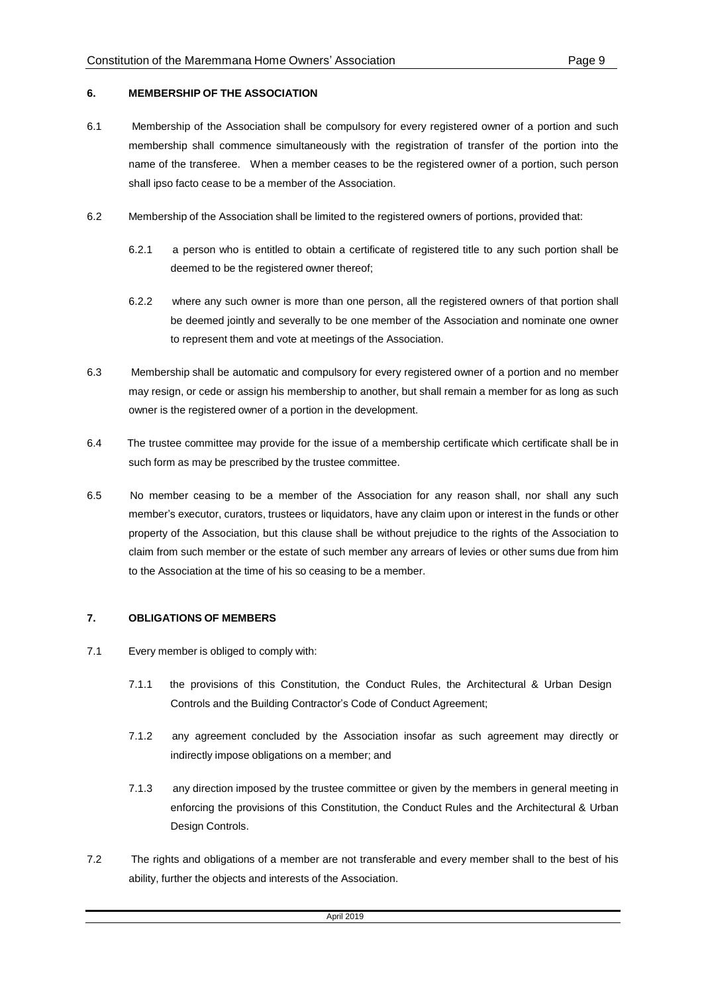## **6. MEMBERSHIP OF THE ASSOCIATION**

- 6.1 Membership of the Association shall be compulsory for every registered owner of a portion and such membership shall commence simultaneously with the registration of transfer of the portion into the name of the transferee. When a member ceases to be the registered owner of a portion, such person shall ipso facto cease to be a member of the Association.
- 6.2 Membership of the Association shall be limited to the registered owners of portions, provided that:
	- 6.2.1 a person who is entitled to obtain a certificate of registered title to any such portion shall be deemed to be the registered owner thereof;
	- 6.2.2 where any such owner is more than one person, all the registered owners of that portion shall be deemed jointly and severally to be one member of the Association and nominate one owner to represent them and vote at meetings of the Association.
- 6.3 Membership shall be automatic and compulsory for every registered owner of a portion and no member may resign, or cede or assign his membership to another, but shall remain a member for as long as such owner is the registered owner of a portion in the development.
- 6.4 The trustee committee may provide for the issue of a membership certificate which certificate shall be in such form as may be prescribed by the trustee committee.
- 6.5 No member ceasing to be a member of the Association for any reason shall, nor shall any such member's executor, curators, trustees or liquidators, have any claim upon or interest in the funds or other property of the Association, but this clause shall be without prejudice to the rights of the Association to claim from such member or the estate of such member any arrears of levies or other sums due from him to the Association at the time of his so ceasing to be a member.

## **7. OBLIGATIONS OF MEMBERS**

- 7.1 Every member is obliged to comply with:
	- 7.1.1 the provisions of this Constitution, the Conduct Rules, the Architectural & Urban Design Controls and the Building Contractor's Code of Conduct Agreement;
	- 7.1.2 any agreement concluded by the Association insofar as such agreement may directly or indirectly impose obligations on a member; and
	- 7.1.3 any direction imposed by the trustee committee or given by the members in general meeting in enforcing the provisions of this Constitution, the Conduct Rules and the Architectural & Urban Design Controls.
- 7.2 The rights and obligations of a member are not transferable and every member shall to the best of his ability, further the objects and interests of the Association.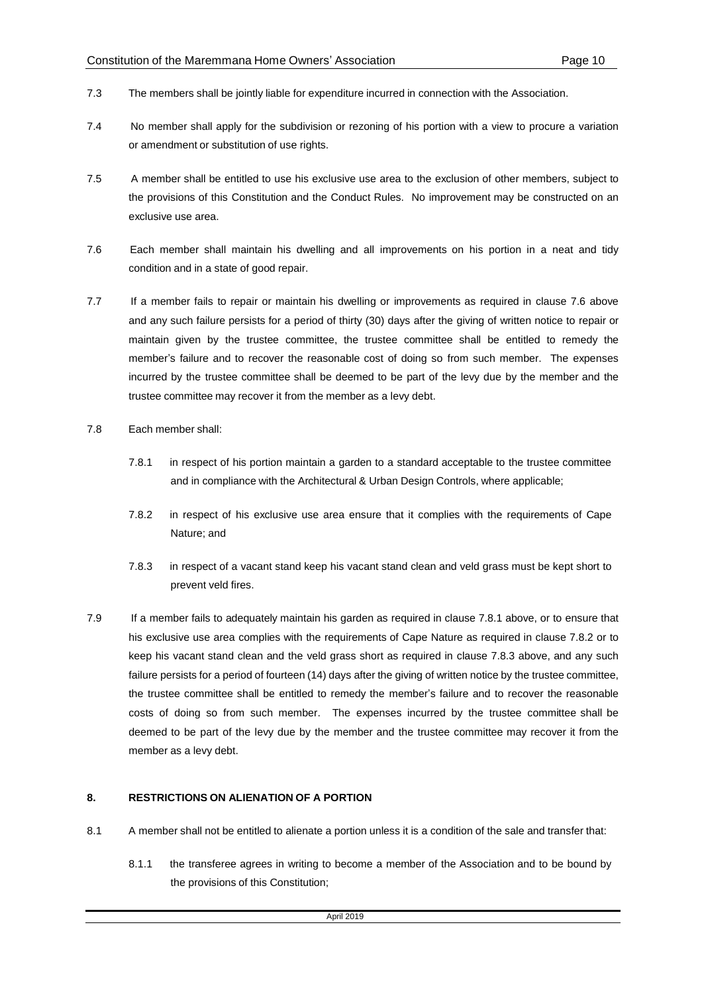- 7.3 The members shall be jointly liable for expenditure incurred in connection with the Association.
- 7.4 No member shall apply for the subdivision or rezoning of his portion with a view to procure a variation or amendment or substitution of use rights.
- 7.5 A member shall be entitled to use his exclusive use area to the exclusion of other members, subject to the provisions of this Constitution and the Conduct Rules. No improvement may be constructed on an exclusive use area.
- 7.6 Each member shall maintain his dwelling and all improvements on his portion in a neat and tidy condition and in a state of good repair.
- 7.7 If a member fails to repair or maintain his dwelling or improvements as required in clause 7.6 above and any such failure persists for a period of thirty (30) days after the giving of written notice to repair or maintain given by the trustee committee, the trustee committee shall be entitled to remedy the member's failure and to recover the reasonable cost of doing so from such member. The expenses incurred by the trustee committee shall be deemed to be part of the levy due by the member and the trustee committee may recover it from the member as a levy debt.
- 7.8 Each member shall:
	- 7.8.1 in respect of his portion maintain a garden to a standard acceptable to the trustee committee and in compliance with the Architectural & Urban Design Controls, where applicable;
	- 7.8.2 in respect of his exclusive use area ensure that it complies with the requirements of Cape Nature; and
	- 7.8.3 in respect of a vacant stand keep his vacant stand clean and veld grass must be kept short to prevent veld fires.
- 7.9 If a member fails to adequately maintain his garden as required in clause 7.8.1 above, or to ensure that his exclusive use area complies with the requirements of Cape Nature as required in clause 7.8.2 or to keep his vacant stand clean and the veld grass short as required in clause 7.8.3 above, and any such failure persists for a period of fourteen (14) days after the giving of written notice by the trustee committee, the trustee committee shall be entitled to remedy the member's failure and to recover the reasonable costs of doing so from such member. The expenses incurred by the trustee committee shall be deemed to be part of the levy due by the member and the trustee committee may recover it from the member as a levy debt.

## **8. RESTRICTIONS ON ALIENATION OF A PORTION**

- 8.1 A member shall not be entitled to alienate a portion unless it is a condition of the sale and transfer that:
	- 8.1.1 the transferee agrees in writing to become a member of the Association and to be bound by the provisions of this Constitution;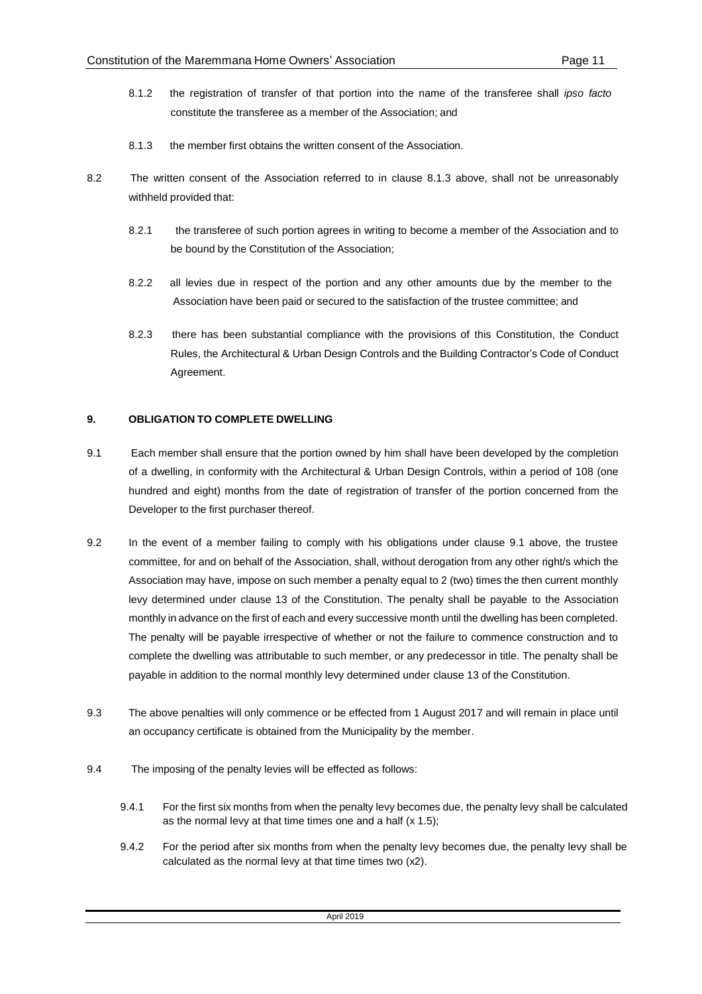- 8.1.2 the registration of transfer of that portion into the name of the transferee shall *ipso facto* constitute the transferee as a member of the Association; and
- 8.1.3 the member first obtains the written consent of the Association.
- 8.2 The written consent of the Association referred to in clause 8.1.3 above, shall not be unreasonably withheld provided that:
	- 8.2.1 the transferee of such portion agrees in writing to become a member of the Association and to be bound by the Constitution of the Association;
	- 8.2.2 all levies due in respect of the portion and any other amounts due by the member to the Association have been paid or secured to the satisfaction of the trustee committee; and
	- 8.2.3 there has been substantial compliance with the provisions of this Constitution, the Conduct Rules, the Architectural & Urban Design Controls and the Building Contractor's Code of Conduct Agreement.

## **9. OBLIGATION TO COMPLETE DWELLING**

- 9.1 Each member shall ensure that the portion owned by him shall have been developed by the completion of a dwelling, in conformity with the Architectural & Urban Design Controls, within a period of 108 (one hundred and eight) months from the date of registration of transfer of the portion concerned from the Developer to the first purchaser thereof.
- 9.2 In the event of a member failing to comply with his obligations under clause 9.1 above, the trustee committee, for and on behalf of the Association, shall, without derogation from any other right/s which the Association may have, impose on such member a penalty equal to 2 (two) times the then current monthly levy determined under clause 13 of the Constitution. The penalty shall be payable to the Association monthly in advance on the first of each and every successive month until the dwelling has been completed. The penalty will be payable irrespective of whether or not the failure to commence construction and to complete the dwelling was attributable to such member, or any predecessor in title. The penalty shall be payable in addition to the normal monthly levy determined under clause 13 of the Constitution.
- 9.3 The above penalties will only commence or be effected from 1 August 2017 and will remain in place until an occupancy certificate is obtained from the Municipality by the member.
- 9.4 The imposing of the penalty levies will be effected as follows:
	- 9.4.1 For the first six months from when the penalty levy becomes due, the penalty levy shall be calculated as the normal levy at that time times one and a half (x 1.5);
	- 9.4.2 For the period after six months from when the penalty levy becomes due, the penalty levy shall be calculated as the normal levy at that time times two (x2).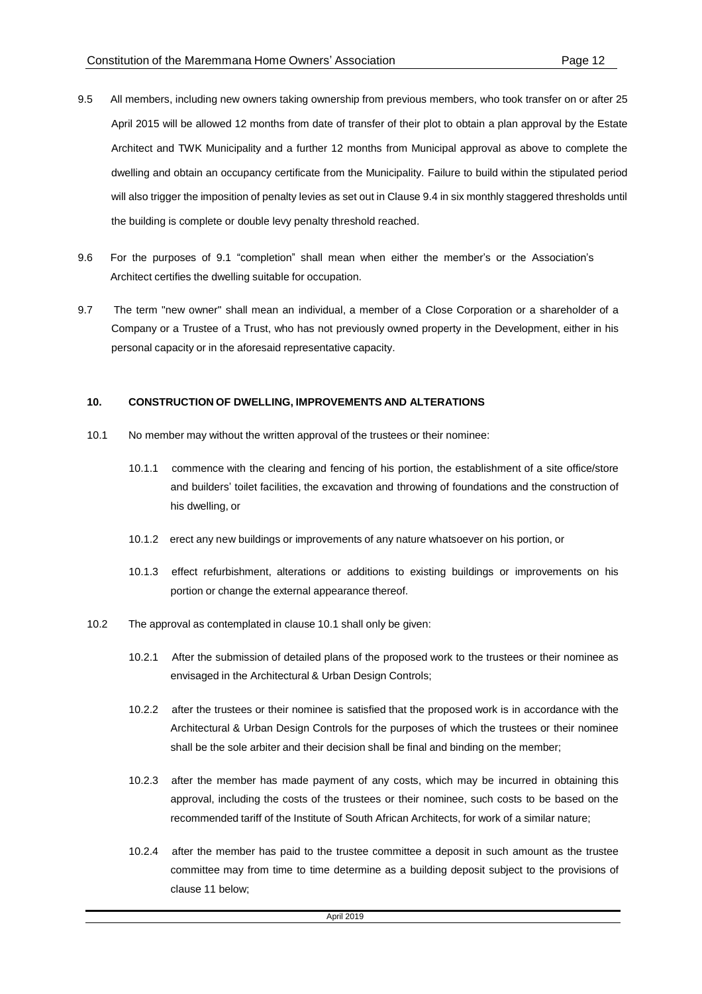- 9.5 All members, including new owners taking ownership from previous members, who took transfer on or after 25 April 2015 will be allowed 12 months from date of transfer of their plot to obtain a plan approval by the Estate Architect and TWK Municipality and a further 12 months from Municipal approval as above to complete the dwelling and obtain an occupancy certificate from the Municipality. Failure to build within the stipulated period will also trigger the imposition of penalty levies as set out in Clause 9.4 in six monthly staggered thresholds until the building is complete or double levy penalty threshold reached.
- 9.6 For the purposes of 9.1 "completion" shall mean when either the member's or the Association's Architect certifies the dwelling suitable for occupation.
- 9.7 The term "new owner" shall mean an individual, a member of a Close Corporation or a shareholder of a Company or a Trustee of a Trust, who has not previously owned property in the Development, either in his personal capacity or in the aforesaid representative capacity.

#### **10. CONSTRUCTION OF DWELLING, IMPROVEMENTS AND ALTERATIONS**

- 10.1 No member may without the written approval of the trustees or their nominee:
	- 10.1.1 commence with the clearing and fencing of his portion, the establishment of a site office/store and builders' toilet facilities, the excavation and throwing of foundations and the construction of his dwelling, or
	- 10.1.2 erect any new buildings or improvements of any nature whatsoever on his portion, or
	- 10.1.3 effect refurbishment, alterations or additions to existing buildings or improvements on his portion or change the external appearance thereof.
- 10.2 The approval as contemplated in clause 10.1 shall only be given:
	- 10.2.1 After the submission of detailed plans of the proposed work to the trustees or their nominee as envisaged in the Architectural & Urban Design Controls;
	- 10.2.2 after the trustees or their nominee is satisfied that the proposed work is in accordance with the Architectural & Urban Design Controls for the purposes of which the trustees or their nominee shall be the sole arbiter and their decision shall be final and binding on the member;
	- 10.2.3 after the member has made payment of any costs, which may be incurred in obtaining this approval, including the costs of the trustees or their nominee, such costs to be based on the recommended tariff of the Institute of South African Architects, for work of a similar nature;
	- 10.2.4 after the member has paid to the trustee committee a deposit in such amount as the trustee committee may from time to time determine as a building deposit subject to the provisions of clause 11 below;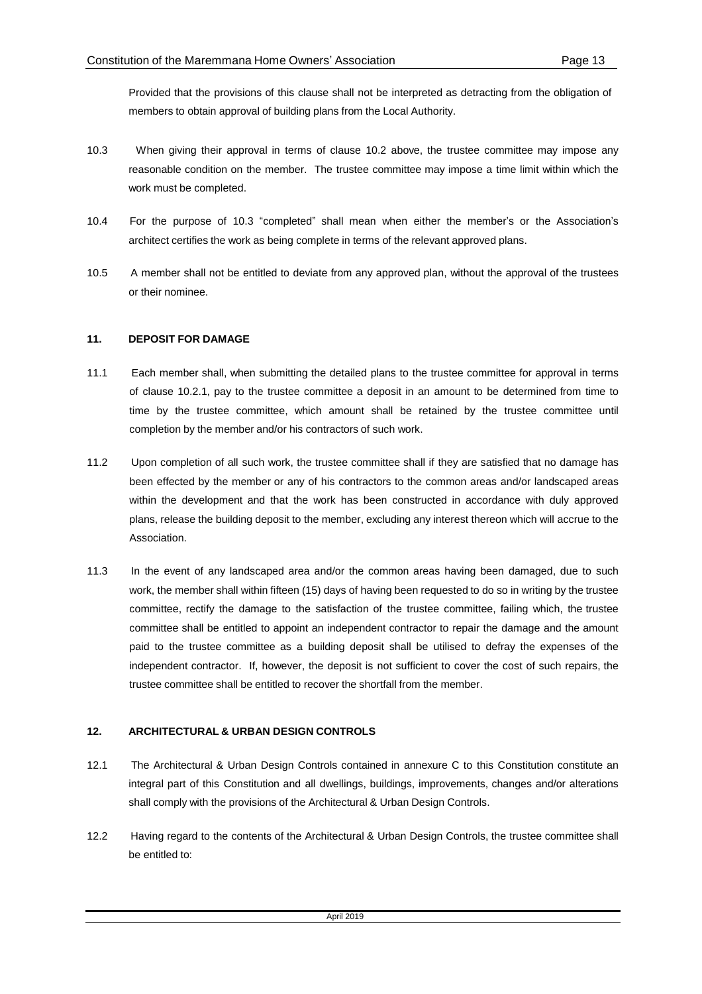Provided that the provisions of this clause shall not be interpreted as detracting from the obligation of members to obtain approval of building plans from the Local Authority.

- 10.3 When giving their approval in terms of clause 10.2 above, the trustee committee may impose any reasonable condition on the member. The trustee committee may impose a time limit within which the work must be completed.
- 10.4 For the purpose of 10.3 "completed" shall mean when either the member's or the Association's architect certifies the work as being complete in terms of the relevant approved plans.
- 10.5 A member shall not be entitled to deviate from any approved plan, without the approval of the trustees or their nominee.

## **11. DEPOSIT FOR DAMAGE**

- 11.1 Each member shall, when submitting the detailed plans to the trustee committee for approval in terms of clause 10.2.1, pay to the trustee committee a deposit in an amount to be determined from time to time by the trustee committee, which amount shall be retained by the trustee committee until completion by the member and/or his contractors of such work.
- 11.2 Upon completion of all such work, the trustee committee shall if they are satisfied that no damage has been effected by the member or any of his contractors to the common areas and/or landscaped areas within the development and that the work has been constructed in accordance with duly approved plans, release the building deposit to the member, excluding any interest thereon which will accrue to the Association.
- 11.3 In the event of any landscaped area and/or the common areas having been damaged, due to such work, the member shall within fifteen (15) days of having been requested to do so in writing by the trustee committee, rectify the damage to the satisfaction of the trustee committee, failing which, the trustee committee shall be entitled to appoint an independent contractor to repair the damage and the amount paid to the trustee committee as a building deposit shall be utilised to defray the expenses of the independent contractor. If, however, the deposit is not sufficient to cover the cost of such repairs, the trustee committee shall be entitled to recover the shortfall from the member.

## **12. ARCHITECTURAL & URBAN DESIGN CONTROLS**

- 12.1 The Architectural & Urban Design Controls contained in annexure C to this Constitution constitute an integral part of this Constitution and all dwellings, buildings, improvements, changes and/or alterations shall comply with the provisions of the Architectural & Urban Design Controls.
- 12.2 Having regard to the contents of the Architectural & Urban Design Controls, the trustee committee shall be entitled to: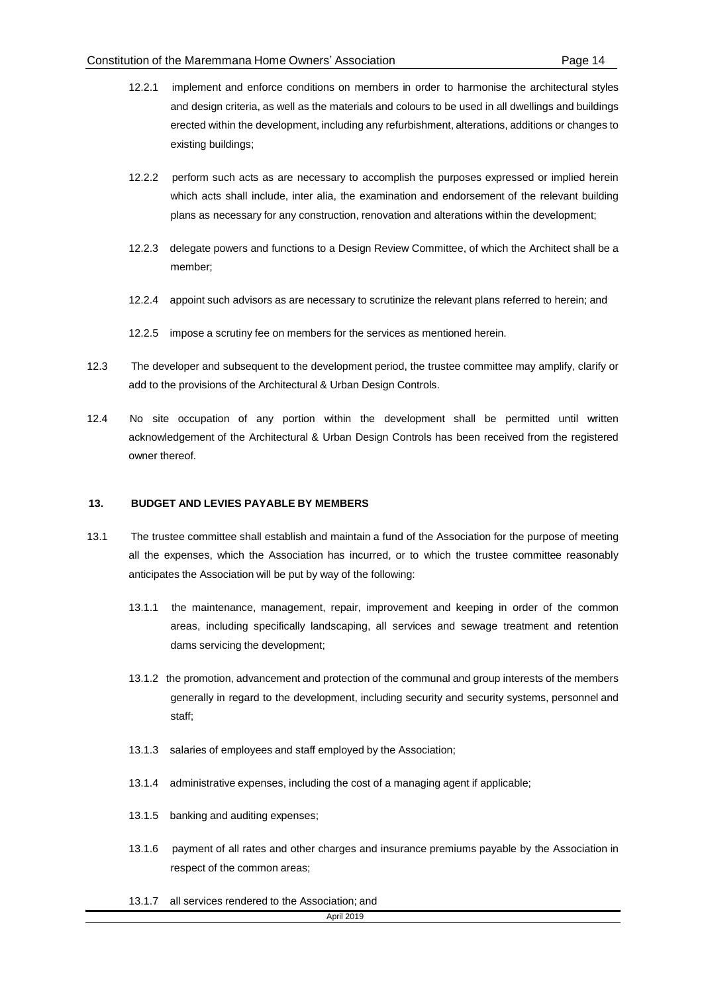- 12.2.1 implement and enforce conditions on members in order to harmonise the architectural styles and design criteria, as well as the materials and colours to be used in all dwellings and buildings erected within the development, including any refurbishment, alterations, additions or changes to existing buildings;
- 12.2.2 perform such acts as are necessary to accomplish the purposes expressed or implied herein which acts shall include, inter alia, the examination and endorsement of the relevant building plans as necessary for any construction, renovation and alterations within the development;
- 12.2.3 delegate powers and functions to a Design Review Committee, of which the Architect shall be a member;
- 12.2.4 appoint such advisors as are necessary to scrutinize the relevant plans referred to herein; and
- 12.2.5 impose a scrutiny fee on members for the services as mentioned herein.
- 12.3 The developer and subsequent to the development period, the trustee committee may amplify, clarify or add to the provisions of the Architectural & Urban Design Controls.
- 12.4 No site occupation of any portion within the development shall be permitted until written acknowledgement of the Architectural & Urban Design Controls has been received from the registered owner thereof.

#### **13. BUDGET AND LEVIES PAYABLE BY MEMBERS**

- 13.1 The trustee committee shall establish and maintain a fund of the Association for the purpose of meeting all the expenses, which the Association has incurred, or to which the trustee committee reasonably anticipates the Association will be put by way of the following:
	- 13.1.1 the maintenance, management, repair, improvement and keeping in order of the common areas, including specifically landscaping, all services and sewage treatment and retention dams servicing the development;
	- 13.1.2 the promotion, advancement and protection of the communal and group interests of the members generally in regard to the development, including security and security systems, personnel and staff;
	- 13.1.3 salaries of employees and staff employed by the Association;
	- 13.1.4 administrative expenses, including the cost of a managing agent if applicable;
	- 13.1.5 banking and auditing expenses;
	- 13.1.6 payment of all rates and other charges and insurance premiums payable by the Association in respect of the common areas;
	- 13.1.7 all services rendered to the Association; and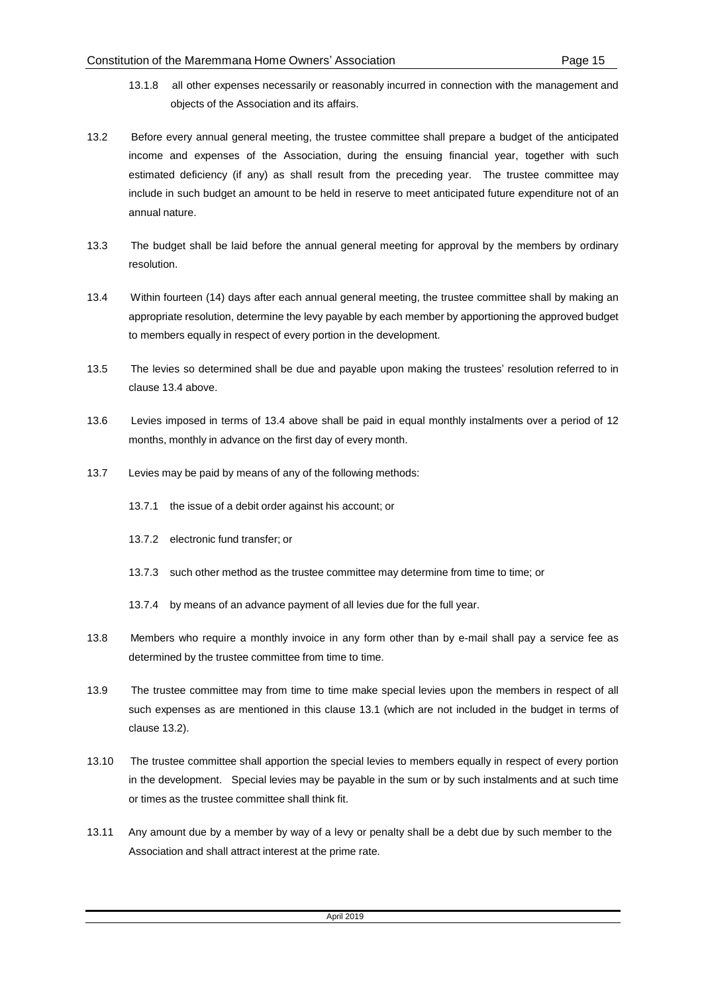- 13.1.8 all other expenses necessarily or reasonably incurred in connection with the management and objects of the Association and its affairs.
- 13.2 Before every annual general meeting, the trustee committee shall prepare a budget of the anticipated income and expenses of the Association, during the ensuing financial year, together with such estimated deficiency (if any) as shall result from the preceding year. The trustee committee may include in such budget an amount to be held in reserve to meet anticipated future expenditure not of an annual nature.
- 13.3 The budget shall be laid before the annual general meeting for approval by the members by ordinary resolution.
- 13.4 Within fourteen (14) days after each annual general meeting, the trustee committee shall by making an appropriate resolution, determine the levy payable by each member by apportioning the approved budget to members equally in respect of every portion in the development.
- 13.5 The levies so determined shall be due and payable upon making the trustees' resolution referred to in clause 13.4 above.
- 13.6 Levies imposed in terms of 13.4 above shall be paid in equal monthly instalments over a period of 12 months, monthly in advance on the first day of every month.
- 13.7 Levies may be paid by means of any of the following methods:
	- 13.7.1 the issue of a debit order against his account; or
	- 13.7.2 electronic fund transfer; or
	- 13.7.3 such other method as the trustee committee may determine from time to time; or
	- 13.7.4 by means of an advance payment of all levies due for the full year.
- 13.8 Members who require a monthly invoice in any form other than by e-mail shall pay a service fee as determined by the trustee committee from time to time.
- 13.9 The trustee committee may from time to time make special levies upon the members in respect of all such expenses as are mentioned in this clause 13.1 (which are not included in the budget in terms of clause 13.2).
- 13.10 The trustee committee shall apportion the special levies to members equally in respect of every portion in the development. Special levies may be payable in the sum or by such instalments and at such time or times as the trustee committee shall think fit.
- 13.11 Any amount due by a member by way of a levy or penalty shall be a debt due by such member to the Association and shall attract interest at the prime rate.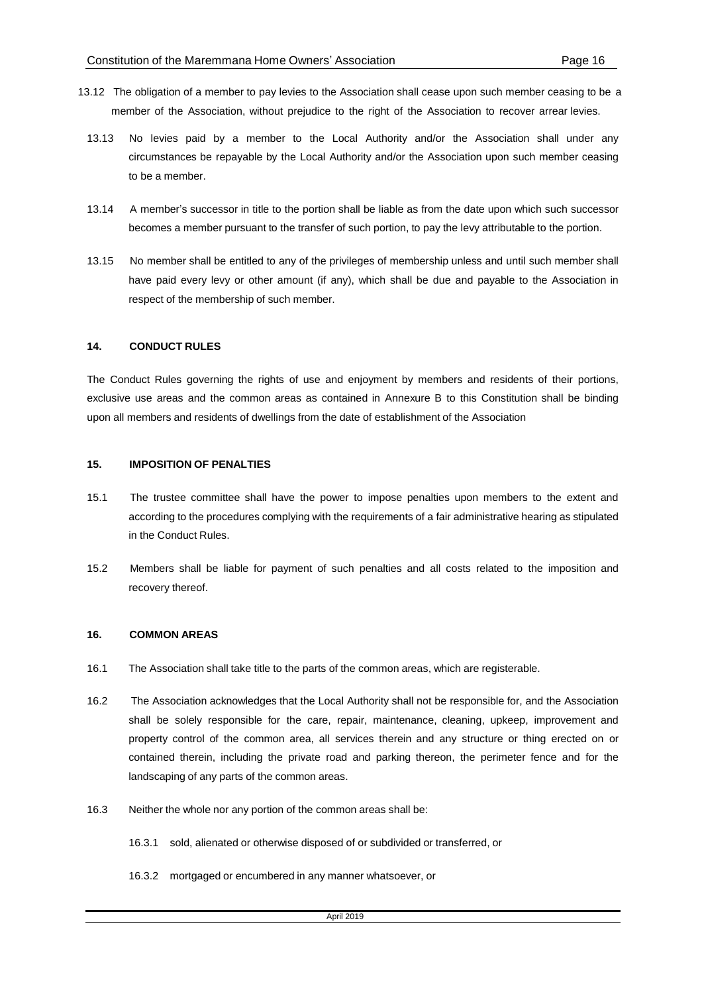- 13.12 The obligation of a member to pay levies to the Association shall cease upon such member ceasing to be a member of the Association, without prejudice to the right of the Association to recover arrear levies.
	- 13.13 No levies paid by a member to the Local Authority and/or the Association shall under any circumstances be repayable by the Local Authority and/or the Association upon such member ceasing to be a member.
	- 13.14 A member's successor in title to the portion shall be liable as from the date upon which such successor becomes a member pursuant to the transfer of such portion, to pay the levy attributable to the portion.
	- 13.15 No member shall be entitled to any of the privileges of membership unless and until such member shall have paid every levy or other amount (if any), which shall be due and payable to the Association in respect of the membership of such member.

#### **14. CONDUCT RULES**

The Conduct Rules governing the rights of use and enjoyment by members and residents of their portions, exclusive use areas and the common areas as contained in Annexure B to this Constitution shall be binding upon all members and residents of dwellings from the date of establishment of the Association

#### **15. IMPOSITION OF PENALTIES**

- 15.1 The trustee committee shall have the power to impose penalties upon members to the extent and according to the procedures complying with the requirements of a fair administrative hearing as stipulated in the Conduct Rules.
- 15.2 Members shall be liable for payment of such penalties and all costs related to the imposition and recovery thereof.

#### **16. COMMON AREAS**

- 16.1 The Association shall take title to the parts of the common areas, which are registerable.
- 16.2 The Association acknowledges that the Local Authority shall not be responsible for, and the Association shall be solely responsible for the care, repair, maintenance, cleaning, upkeep, improvement and property control of the common area, all services therein and any structure or thing erected on or contained therein, including the private road and parking thereon, the perimeter fence and for the landscaping of any parts of the common areas.
- 16.3 Neither the whole nor any portion of the common areas shall be:
	- 16.3.1 sold, alienated or otherwise disposed of or subdivided or transferred, or
	- 16.3.2 mortgaged or encumbered in any manner whatsoever, or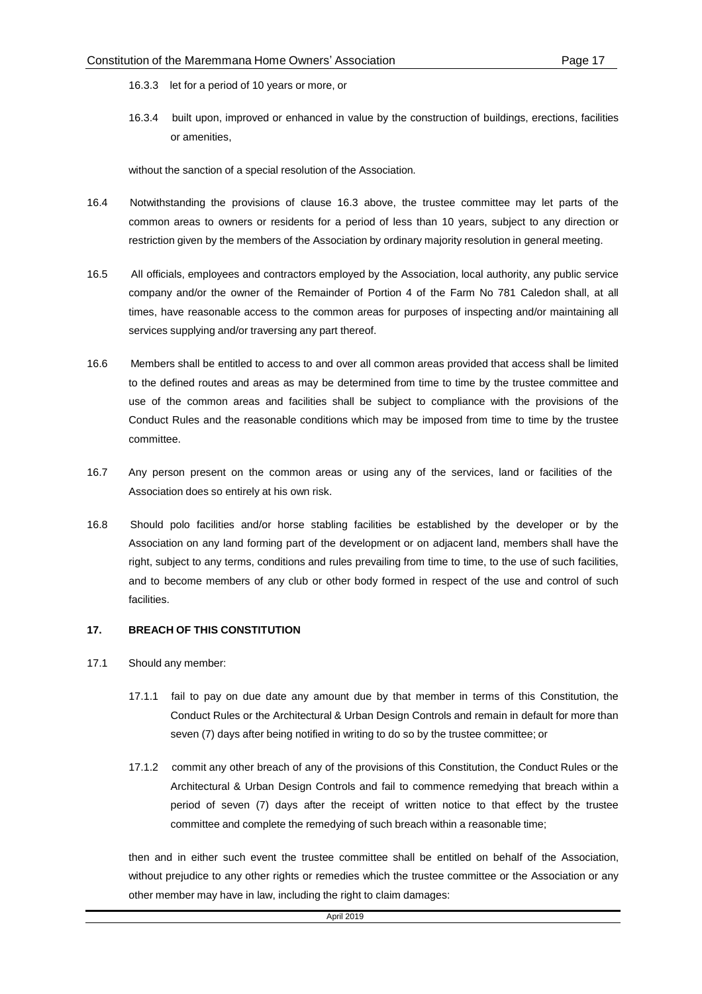- 16.3.3 let for a period of 10 years or more, or
- 16.3.4 built upon, improved or enhanced in value by the construction of buildings, erections, facilities or amenities,

without the sanction of a special resolution of the Association.

- 16.4 Notwithstanding the provisions of clause 16.3 above, the trustee committee may let parts of the common areas to owners or residents for a period of less than 10 years, subject to any direction or restriction given by the members of the Association by ordinary majority resolution in general meeting.
- 16.5 All officials, employees and contractors employed by the Association, local authority, any public service company and/or the owner of the Remainder of Portion 4 of the Farm No 781 Caledon shall, at all times, have reasonable access to the common areas for purposes of inspecting and/or maintaining all services supplying and/or traversing any part thereof.
- 16.6 Members shall be entitled to access to and over all common areas provided that access shall be limited to the defined routes and areas as may be determined from time to time by the trustee committee and use of the common areas and facilities shall be subject to compliance with the provisions of the Conduct Rules and the reasonable conditions which may be imposed from time to time by the trustee committee.
- 16.7 Any person present on the common areas or using any of the services, land or facilities of the Association does so entirely at his own risk.
- 16.8 Should polo facilities and/or horse stabling facilities be established by the developer or by the Association on any land forming part of the development or on adjacent land, members shall have the right, subject to any terms, conditions and rules prevailing from time to time, to the use of such facilities, and to become members of any club or other body formed in respect of the use and control of such facilities.

#### **17. BREACH OF THIS CONSTITUTION**

- 17.1 Should any member:
	- 17.1.1 fail to pay on due date any amount due by that member in terms of this Constitution, the Conduct Rules or the Architectural & Urban Design Controls and remain in default for more than seven (7) days after being notified in writing to do so by the trustee committee; or
	- 17.1.2 commit any other breach of any of the provisions of this Constitution, the Conduct Rules or the Architectural & Urban Design Controls and fail to commence remedying that breach within a period of seven (7) days after the receipt of written notice to that effect by the trustee committee and complete the remedying of such breach within a reasonable time;

then and in either such event the trustee committee shall be entitled on behalf of the Association, without prejudice to any other rights or remedies which the trustee committee or the Association or any other member may have in law, including the right to claim damages: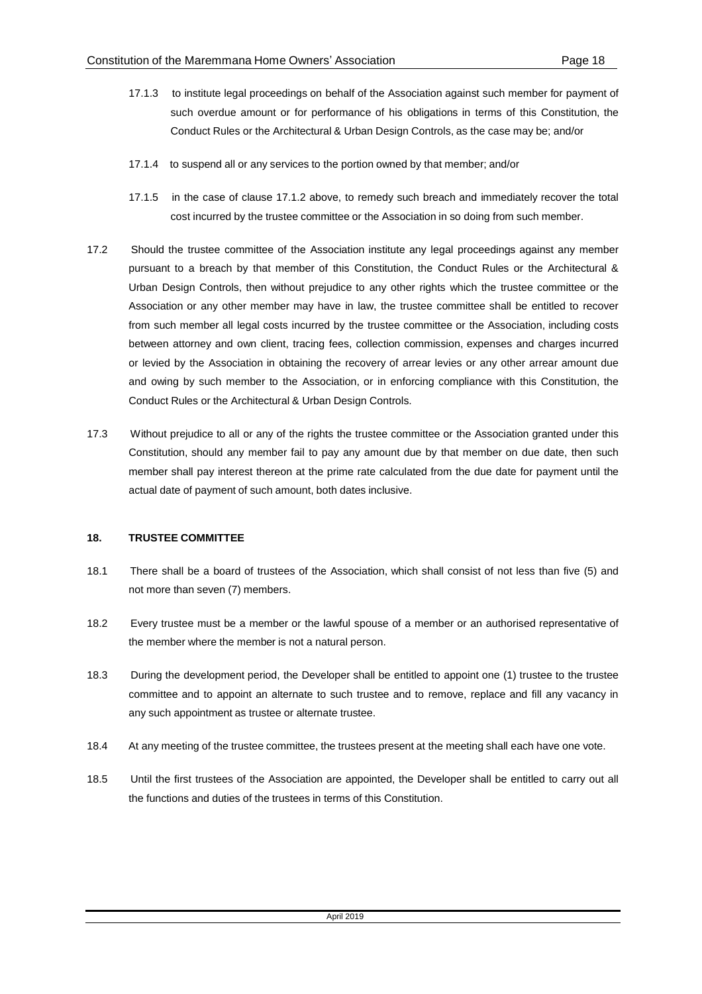- 17.1.3 to institute legal proceedings on behalf of the Association against such member for payment of such overdue amount or for performance of his obligations in terms of this Constitution, the Conduct Rules or the Architectural & Urban Design Controls, as the case may be; and/or
- 17.1.4 to suspend all or any services to the portion owned by that member; and/or
- 17.1.5 in the case of clause 17.1.2 above, to remedy such breach and immediately recover the total cost incurred by the trustee committee or the Association in so doing from such member.
- 17.2 Should the trustee committee of the Association institute any legal proceedings against any member pursuant to a breach by that member of this Constitution, the Conduct Rules or the Architectural & Urban Design Controls, then without prejudice to any other rights which the trustee committee or the Association or any other member may have in law, the trustee committee shall be entitled to recover from such member all legal costs incurred by the trustee committee or the Association, including costs between attorney and own client, tracing fees, collection commission, expenses and charges incurred or levied by the Association in obtaining the recovery of arrear levies or any other arrear amount due and owing by such member to the Association, or in enforcing compliance with this Constitution, the Conduct Rules or the Architectural & Urban Design Controls.
- 17.3 Without prejudice to all or any of the rights the trustee committee or the Association granted under this Constitution, should any member fail to pay any amount due by that member on due date, then such member shall pay interest thereon at the prime rate calculated from the due date for payment until the actual date of payment of such amount, both dates inclusive.

## **18. TRUSTEE COMMITTEE**

- 18.1 There shall be a board of trustees of the Association, which shall consist of not less than five (5) and not more than seven (7) members.
- 18.2 Every trustee must be a member or the lawful spouse of a member or an authorised representative of the member where the member is not a natural person.
- 18.3 During the development period, the Developer shall be entitled to appoint one (1) trustee to the trustee committee and to appoint an alternate to such trustee and to remove, replace and fill any vacancy in any such appointment as trustee or alternate trustee.
- 18.4 At any meeting of the trustee committee, the trustees present at the meeting shall each have one vote.
- 18.5 Until the first trustees of the Association are appointed, the Developer shall be entitled to carry out all the functions and duties of the trustees in terms of this Constitution.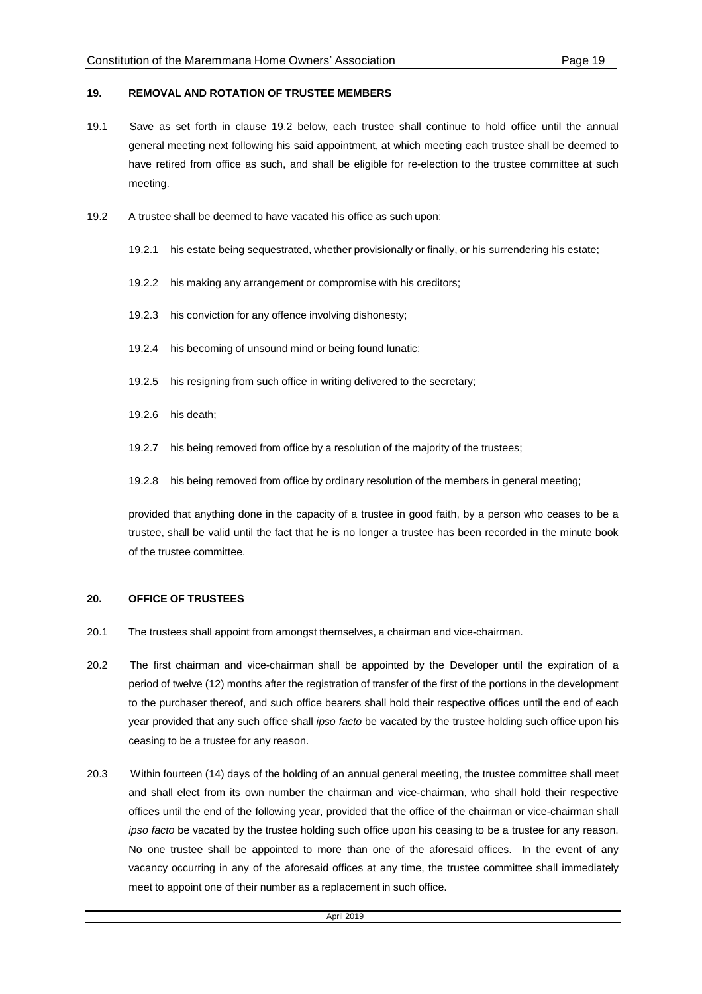#### **19. REMOVAL AND ROTATION OF TRUSTEE MEMBERS**

- 19.1 Save as set forth in clause 19.2 below, each trustee shall continue to hold office until the annual general meeting next following his said appointment, at which meeting each trustee shall be deemed to have retired from office as such, and shall be eligible for re-election to the trustee committee at such meeting.
- 19.2 A trustee shall be deemed to have vacated his office as such upon:
	- 19.2.1 his estate being sequestrated, whether provisionally or finally, or his surrendering his estate;
	- 19.2.2 his making any arrangement or compromise with his creditors;
	- 19.2.3 his conviction for any offence involving dishonesty;
	- 19.2.4 his becoming of unsound mind or being found lunatic;
	- 19.2.5 his resigning from such office in writing delivered to the secretary;
	- 19.2.6 his death;
	- 19.2.7 his being removed from office by a resolution of the majority of the trustees;
	- 19.2.8 his being removed from office by ordinary resolution of the members in general meeting;

provided that anything done in the capacity of a trustee in good faith, by a person who ceases to be a trustee, shall be valid until the fact that he is no longer a trustee has been recorded in the minute book of the trustee committee.

#### **20. OFFICE OF TRUSTEES**

- 20.1 The trustees shall appoint from amongst themselves, a chairman and vice-chairman.
- 20.2 The first chairman and vice-chairman shall be appointed by the Developer until the expiration of a period of twelve (12) months after the registration of transfer of the first of the portions in the development to the purchaser thereof, and such office bearers shall hold their respective offices until the end of each year provided that any such office shall *ipso facto* be vacated by the trustee holding such office upon his ceasing to be a trustee for any reason.
- 20.3 Within fourteen (14) days of the holding of an annual general meeting, the trustee committee shall meet and shall elect from its own number the chairman and vice-chairman, who shall hold their respective offices until the end of the following year, provided that the office of the chairman or vice-chairman shall *ipso facto* be vacated by the trustee holding such office upon his ceasing to be a trustee for any reason. No one trustee shall be appointed to more than one of the aforesaid offices. In the event of any vacancy occurring in any of the aforesaid offices at any time, the trustee committee shall immediately meet to appoint one of their number as a replacement in such office.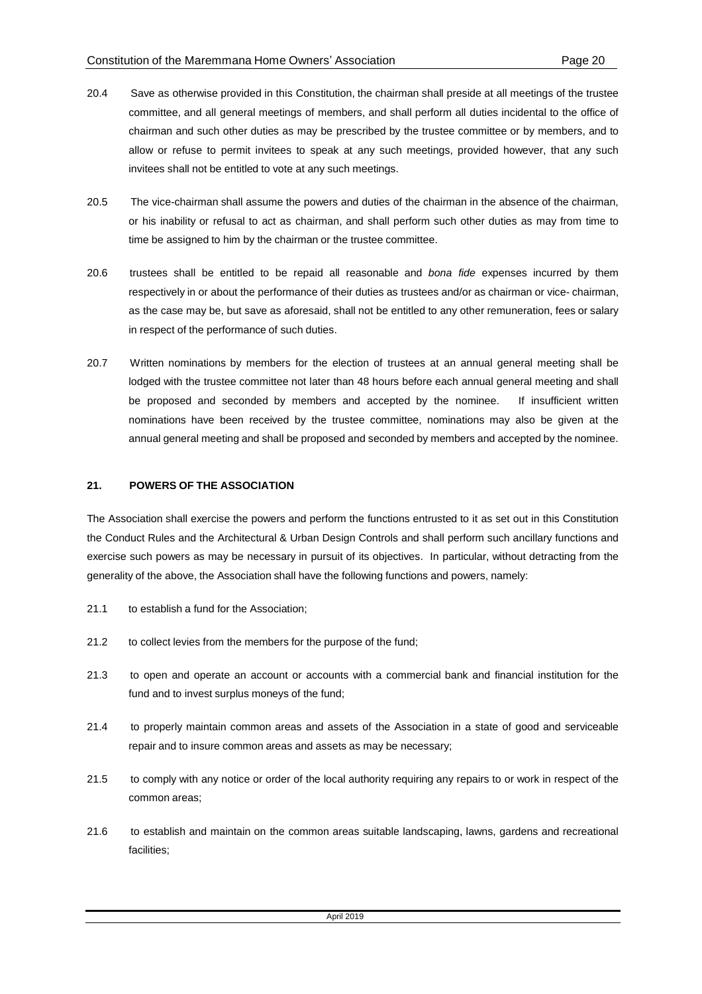- 20.4 Save as otherwise provided in this Constitution, the chairman shall preside at all meetings of the trustee committee, and all general meetings of members, and shall perform all duties incidental to the office of chairman and such other duties as may be prescribed by the trustee committee or by members, and to allow or refuse to permit invitees to speak at any such meetings, provided however, that any such invitees shall not be entitled to vote at any such meetings.
- 20.5 The vice-chairman shall assume the powers and duties of the chairman in the absence of the chairman, or his inability or refusal to act as chairman, and shall perform such other duties as may from time to time be assigned to him by the chairman or the trustee committee.
- 20.6 trustees shall be entitled to be repaid all reasonable and *bona fide* expenses incurred by them respectively in or about the performance of their duties as trustees and/or as chairman or vice- chairman, as the case may be, but save as aforesaid, shall not be entitled to any other remuneration, fees or salary in respect of the performance of such duties.
- 20.7 Written nominations by members for the election of trustees at an annual general meeting shall be lodged with the trustee committee not later than 48 hours before each annual general meeting and shall be proposed and seconded by members and accepted by the nominee. If insufficient written nominations have been received by the trustee committee, nominations may also be given at the annual general meeting and shall be proposed and seconded by members and accepted by the nominee.

## **21. POWERS OF THE ASSOCIATION**

The Association shall exercise the powers and perform the functions entrusted to it as set out in this Constitution the Conduct Rules and the Architectural & Urban Design Controls and shall perform such ancillary functions and exercise such powers as may be necessary in pursuit of its objectives. In particular, without detracting from the generality of the above, the Association shall have the following functions and powers, namely:

- 21.1 to establish a fund for the Association;
- 21.2 to collect levies from the members for the purpose of the fund;
- 21.3 to open and operate an account or accounts with a commercial bank and financial institution for the fund and to invest surplus moneys of the fund;
- 21.4 to properly maintain common areas and assets of the Association in a state of good and serviceable repair and to insure common areas and assets as may be necessary;
- 21.5 to comply with any notice or order of the local authority requiring any repairs to or work in respect of the common areas;
- 21.6 to establish and maintain on the common areas suitable landscaping, lawns, gardens and recreational facilities;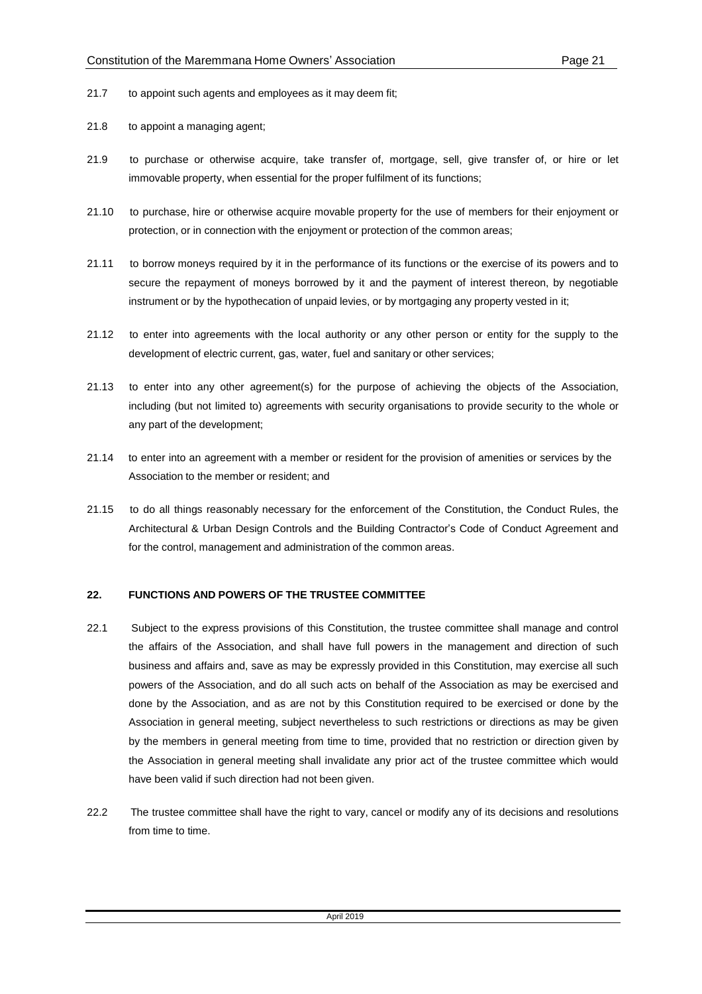- 21.7 to appoint such agents and employees as it may deem fit;
- 21.8 to appoint a managing agent;
- 21.9 to purchase or otherwise acquire, take transfer of, mortgage, sell, give transfer of, or hire or let immovable property, when essential for the proper fulfilment of its functions;
- 21.10 to purchase, hire or otherwise acquire movable property for the use of members for their enjoyment or protection, or in connection with the enjoyment or protection of the common areas;
- 21.11 to borrow moneys required by it in the performance of its functions or the exercise of its powers and to secure the repayment of moneys borrowed by it and the payment of interest thereon, by negotiable instrument or by the hypothecation of unpaid levies, or by mortgaging any property vested in it;
- 21.12 to enter into agreements with the local authority or any other person or entity for the supply to the development of electric current, gas, water, fuel and sanitary or other services;
- 21.13 to enter into any other agreement(s) for the purpose of achieving the objects of the Association, including (but not limited to) agreements with security organisations to provide security to the whole or any part of the development;
- 21.14 to enter into an agreement with a member or resident for the provision of amenities or services by the Association to the member or resident; and
- 21.15 to do all things reasonably necessary for the enforcement of the Constitution, the Conduct Rules, the Architectural & Urban Design Controls and the Building Contractor's Code of Conduct Agreement and for the control, management and administration of the common areas.

## **22. FUNCTIONS AND POWERS OF THE TRUSTEE COMMITTEE**

- 22.1 Subject to the express provisions of this Constitution, the trustee committee shall manage and control the affairs of the Association, and shall have full powers in the management and direction of such business and affairs and, save as may be expressly provided in this Constitution, may exercise all such powers of the Association, and do all such acts on behalf of the Association as may be exercised and done by the Association, and as are not by this Constitution required to be exercised or done by the Association in general meeting, subject nevertheless to such restrictions or directions as may be given by the members in general meeting from time to time, provided that no restriction or direction given by the Association in general meeting shall invalidate any prior act of the trustee committee which would have been valid if such direction had not been given.
- 22.2 The trustee committee shall have the right to vary, cancel or modify any of its decisions and resolutions from time to time.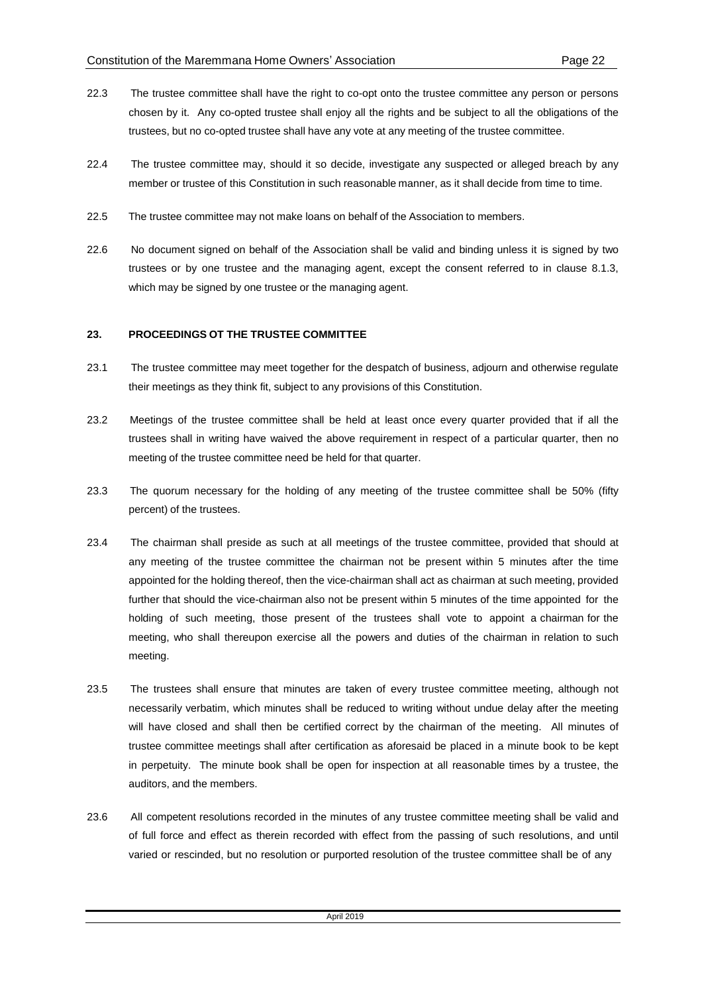- 22.3 The trustee committee shall have the right to co-opt onto the trustee committee any person or persons chosen by it. Any co-opted trustee shall enjoy all the rights and be subject to all the obligations of the trustees, but no co-opted trustee shall have any vote at any meeting of the trustee committee.
- 22.4 The trustee committee may, should it so decide, investigate any suspected or alleged breach by any member or trustee of this Constitution in such reasonable manner, as it shall decide from time to time.
- 22.5 The trustee committee may not make loans on behalf of the Association to members.
- 22.6 No document signed on behalf of the Association shall be valid and binding unless it is signed by two trustees or by one trustee and the managing agent, except the consent referred to in clause 8.1.3, which may be signed by one trustee or the managing agent.

## **23. PROCEEDINGS OT THE TRUSTEE COMMITTEE**

- 23.1 The trustee committee may meet together for the despatch of business, adjourn and otherwise regulate their meetings as they think fit, subject to any provisions of this Constitution.
- 23.2 Meetings of the trustee committee shall be held at least once every quarter provided that if all the trustees shall in writing have waived the above requirement in respect of a particular quarter, then no meeting of the trustee committee need be held for that quarter.
- 23.3 The quorum necessary for the holding of any meeting of the trustee committee shall be 50% (fifty percent) of the trustees.
- 23.4 The chairman shall preside as such at all meetings of the trustee committee, provided that should at any meeting of the trustee committee the chairman not be present within 5 minutes after the time appointed for the holding thereof, then the vice-chairman shall act as chairman at such meeting, provided further that should the vice-chairman also not be present within 5 minutes of the time appointed for the holding of such meeting, those present of the trustees shall vote to appoint a chairman for the meeting, who shall thereupon exercise all the powers and duties of the chairman in relation to such meeting.
- 23.5 The trustees shall ensure that minutes are taken of every trustee committee meeting, although not necessarily verbatim, which minutes shall be reduced to writing without undue delay after the meeting will have closed and shall then be certified correct by the chairman of the meeting. All minutes of trustee committee meetings shall after certification as aforesaid be placed in a minute book to be kept in perpetuity. The minute book shall be open for inspection at all reasonable times by a trustee, the auditors, and the members.
- 23.6 All competent resolutions recorded in the minutes of any trustee committee meeting shall be valid and of full force and effect as therein recorded with effect from the passing of such resolutions, and until varied or rescinded, but no resolution or purported resolution of the trustee committee shall be of any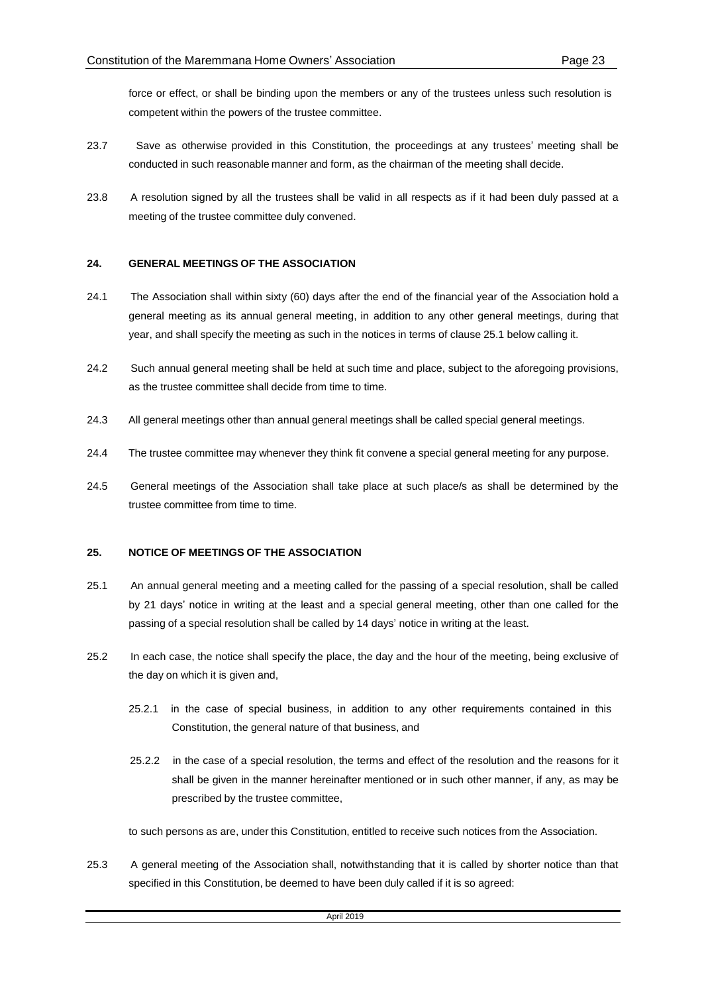force or effect, or shall be binding upon the members or any of the trustees unless such resolution is competent within the powers of the trustee committee.

- 23.7 Save as otherwise provided in this Constitution, the proceedings at any trustees' meeting shall be conducted in such reasonable manner and form, as the chairman of the meeting shall decide.
- 23.8 A resolution signed by all the trustees shall be valid in all respects as if it had been duly passed at a meeting of the trustee committee duly convened.

## **24. GENERAL MEETINGS OF THE ASSOCIATION**

- 24.1 The Association shall within sixty (60) days after the end of the financial year of the Association hold a general meeting as its annual general meeting, in addition to any other general meetings, during that year, and shall specify the meeting as such in the notices in terms of clause 25.1 below calling it.
- 24.2 Such annual general meeting shall be held at such time and place, subject to the aforegoing provisions, as the trustee committee shall decide from time to time.
- 24.3 All general meetings other than annual general meetings shall be called special general meetings.
- 24.4 The trustee committee may whenever they think fit convene a special general meeting for any purpose.
- 24.5 General meetings of the Association shall take place at such place/s as shall be determined by the trustee committee from time to time.

## **25. NOTICE OF MEETINGS OF THE ASSOCIATION**

- 25.1 An annual general meeting and a meeting called for the passing of a special resolution, shall be called by 21 days' notice in writing at the least and a special general meeting, other than one called for the passing of a special resolution shall be called by 14 days' notice in writing at the least.
- 25.2 In each case, the notice shall specify the place, the day and the hour of the meeting, being exclusive of the day on which it is given and,
	- 25.2.1 in the case of special business, in addition to any other requirements contained in this Constitution, the general nature of that business, and
	- 25.2.2 in the case of a special resolution, the terms and effect of the resolution and the reasons for it shall be given in the manner hereinafter mentioned or in such other manner, if any, as may be prescribed by the trustee committee,

to such persons as are, under this Constitution, entitled to receive such notices from the Association.

25.3 A general meeting of the Association shall, notwithstanding that it is called by shorter notice than that specified in this Constitution, be deemed to have been duly called if it is so agreed: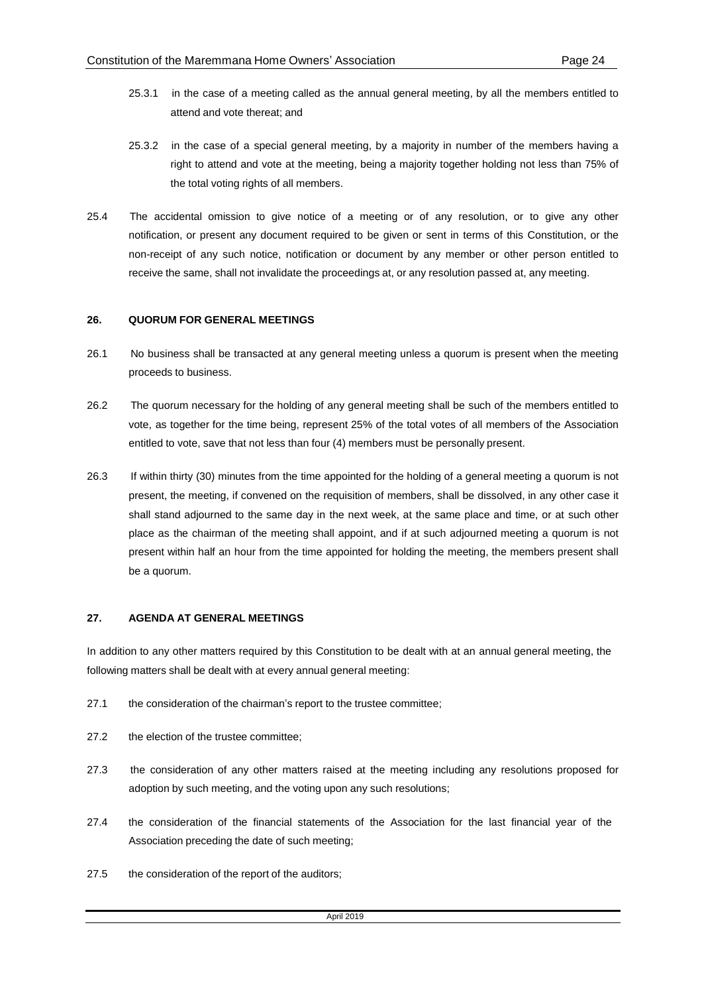- 25.3.1 in the case of a meeting called as the annual general meeting, by all the members entitled to attend and vote thereat; and
- 25.3.2 in the case of a special general meeting, by a majority in number of the members having a right to attend and vote at the meeting, being a majority together holding not less than 75% of the total voting rights of all members.
- 25.4 The accidental omission to give notice of a meeting or of any resolution, or to give any other notification, or present any document required to be given or sent in terms of this Constitution, or the non-receipt of any such notice, notification or document by any member or other person entitled to receive the same, shall not invalidate the proceedings at, or any resolution passed at, any meeting.

## **26. QUORUM FOR GENERAL MEETINGS**

- 26.1 No business shall be transacted at any general meeting unless a quorum is present when the meeting proceeds to business.
- 26.2 The quorum necessary for the holding of any general meeting shall be such of the members entitled to vote, as together for the time being, represent 25% of the total votes of all members of the Association entitled to vote, save that not less than four (4) members must be personally present.
- 26.3 If within thirty (30) minutes from the time appointed for the holding of a general meeting a quorum is not present, the meeting, if convened on the requisition of members, shall be dissolved, in any other case it shall stand adjourned to the same day in the next week, at the same place and time, or at such other place as the chairman of the meeting shall appoint, and if at such adjourned meeting a quorum is not present within half an hour from the time appointed for holding the meeting, the members present shall be a quorum.

## **27. AGENDA AT GENERAL MEETINGS**

In addition to any other matters required by this Constitution to be dealt with at an annual general meeting, the following matters shall be dealt with at every annual general meeting:

- 27.1 the consideration of the chairman's report to the trustee committee;
- 27.2 the election of the trustee committee;
- 27.3 the consideration of any other matters raised at the meeting including any resolutions proposed for adoption by such meeting, and the voting upon any such resolutions;
- 27.4 the consideration of the financial statements of the Association for the last financial year of the Association preceding the date of such meeting;
- 27.5 the consideration of the report of the auditors;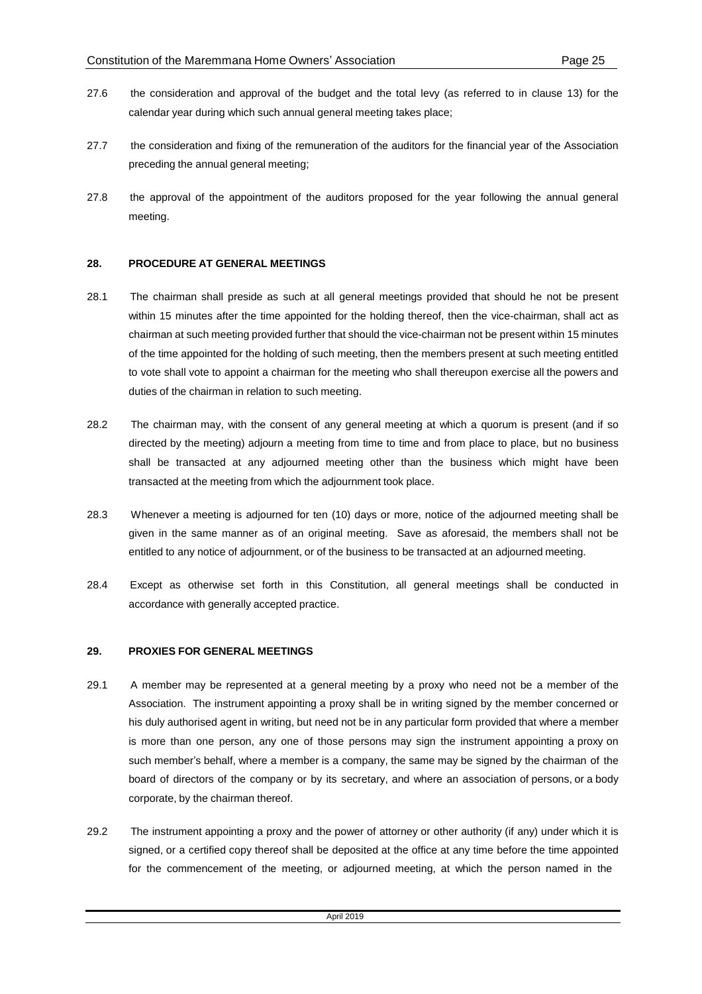- 27.6 the consideration and approval of the budget and the total levy (as referred to in clause 13) for the calendar year during which such annual general meeting takes place;
- 27.7 the consideration and fixing of the remuneration of the auditors for the financial year of the Association preceding the annual general meeting;
- 27.8 the approval of the appointment of the auditors proposed for the year following the annual general meeting.

#### **28. PROCEDURE AT GENERAL MEETINGS**

- 28.1 The chairman shall preside as such at all general meetings provided that should he not be present within 15 minutes after the time appointed for the holding thereof, then the vice-chairman, shall act as chairman at such meeting provided further that should the vice-chairman not be present within 15 minutes of the time appointed for the holding of such meeting, then the members present at such meeting entitled to vote shall vote to appoint a chairman for the meeting who shall thereupon exercise all the powers and duties of the chairman in relation to such meeting.
- 28.2 The chairman may, with the consent of any general meeting at which a quorum is present (and if so directed by the meeting) adjourn a meeting from time to time and from place to place, but no business shall be transacted at any adjourned meeting other than the business which might have been transacted at the meeting from which the adjournment took place.
- 28.3 Whenever a meeting is adjourned for ten (10) days or more, notice of the adjourned meeting shall be given in the same manner as of an original meeting. Save as aforesaid, the members shall not be entitled to any notice of adjournment, or of the business to be transacted at an adjourned meeting.
- 28.4 Except as otherwise set forth in this Constitution, all general meetings shall be conducted in accordance with generally accepted practice.

#### **29. PROXIES FOR GENERAL MEETINGS**

- 29.1 A member may be represented at a general meeting by a proxy who need not be a member of the Association. The instrument appointing a proxy shall be in writing signed by the member concerned or his duly authorised agent in writing, but need not be in any particular form provided that where a member is more than one person, any one of those persons may sign the instrument appointing a proxy on such member's behalf, where a member is a company, the same may be signed by the chairman of the board of directors of the company or by its secretary, and where an association of persons, or a body corporate, by the chairman thereof.
- 29.2 The instrument appointing a proxy and the power of attorney or other authority (if any) under which it is signed, or a certified copy thereof shall be deposited at the office at any time before the time appointed for the commencement of the meeting, or adjourned meeting, at which the person named in the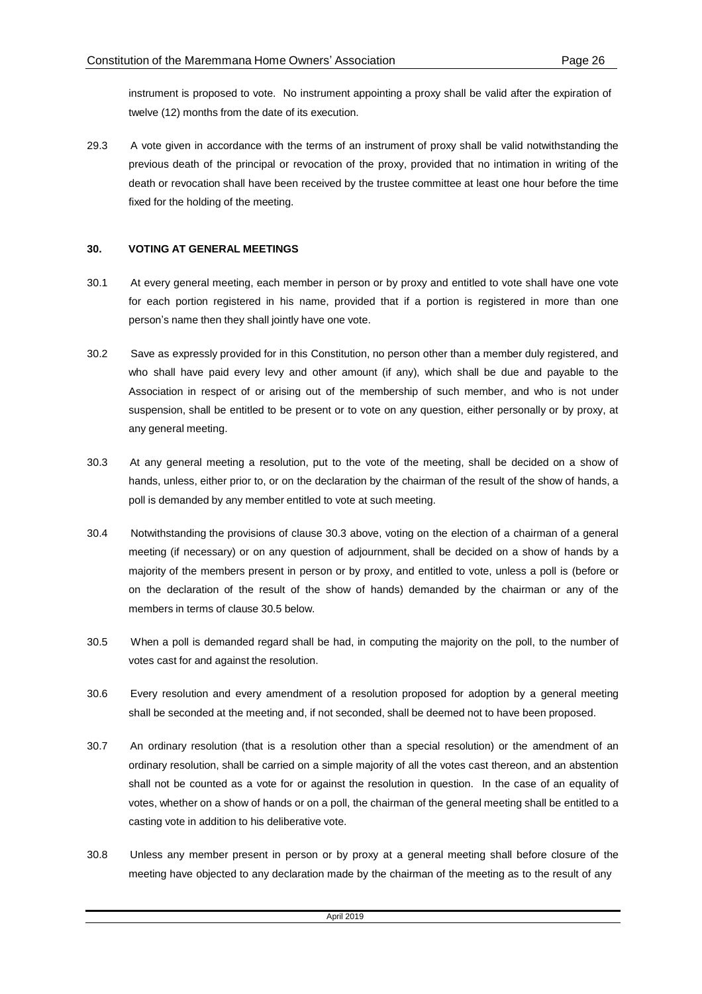instrument is proposed to vote. No instrument appointing a proxy shall be valid after the expiration of twelve (12) months from the date of its execution.

29.3 A vote given in accordance with the terms of an instrument of proxy shall be valid notwithstanding the previous death of the principal or revocation of the proxy, provided that no intimation in writing of the death or revocation shall have been received by the trustee committee at least one hour before the time fixed for the holding of the meeting.

## **30. VOTING AT GENERAL MEETINGS**

- 30.1 At every general meeting, each member in person or by proxy and entitled to vote shall have one vote for each portion registered in his name, provided that if a portion is registered in more than one person's name then they shall jointly have one vote.
- 30.2 Save as expressly provided for in this Constitution, no person other than a member duly registered, and who shall have paid every levy and other amount (if any), which shall be due and payable to the Association in respect of or arising out of the membership of such member, and who is not under suspension, shall be entitled to be present or to vote on any question, either personally or by proxy, at any general meeting.
- 30.3 At any general meeting a resolution, put to the vote of the meeting, shall be decided on a show of hands, unless, either prior to, or on the declaration by the chairman of the result of the show of hands, a poll is demanded by any member entitled to vote at such meeting.
- 30.4 Notwithstanding the provisions of clause 30.3 above, voting on the election of a chairman of a general meeting (if necessary) or on any question of adjournment, shall be decided on a show of hands by a majority of the members present in person or by proxy, and entitled to vote, unless a poll is (before or on the declaration of the result of the show of hands) demanded by the chairman or any of the members in terms of clause 30.5 below.
- 30.5 When a poll is demanded regard shall be had, in computing the majority on the poll, to the number of votes cast for and against the resolution.
- 30.6 Every resolution and every amendment of a resolution proposed for adoption by a general meeting shall be seconded at the meeting and, if not seconded, shall be deemed not to have been proposed.
- 30.7 An ordinary resolution (that is a resolution other than a special resolution) or the amendment of an ordinary resolution, shall be carried on a simple majority of all the votes cast thereon, and an abstention shall not be counted as a vote for or against the resolution in question. In the case of an equality of votes, whether on a show of hands or on a poll, the chairman of the general meeting shall be entitled to a casting vote in addition to his deliberative vote.
- 30.8 Unless any member present in person or by proxy at a general meeting shall before closure of the meeting have objected to any declaration made by the chairman of the meeting as to the result of any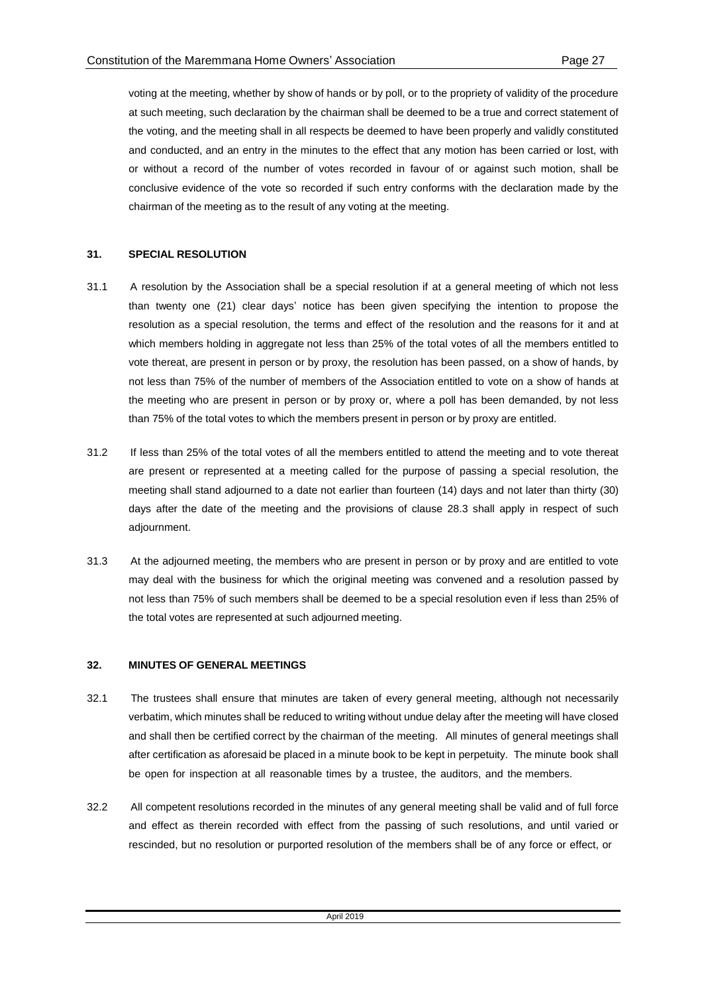voting at the meeting, whether by show of hands or by poll, or to the propriety of validity of the procedure at such meeting, such declaration by the chairman shall be deemed to be a true and correct statement of the voting, and the meeting shall in all respects be deemed to have been properly and validly constituted and conducted, and an entry in the minutes to the effect that any motion has been carried or lost, with or without a record of the number of votes recorded in favour of or against such motion, shall be conclusive evidence of the vote so recorded if such entry conforms with the declaration made by the chairman of the meeting as to the result of any voting at the meeting.

## **31. SPECIAL RESOLUTION**

- 31.1 A resolution by the Association shall be a special resolution if at a general meeting of which not less than twenty one (21) clear days' notice has been given specifying the intention to propose the resolution as a special resolution, the terms and effect of the resolution and the reasons for it and at which members holding in aggregate not less than 25% of the total votes of all the members entitled to vote thereat, are present in person or by proxy, the resolution has been passed, on a show of hands, by not less than 75% of the number of members of the Association entitled to vote on a show of hands at the meeting who are present in person or by proxy or, where a poll has been demanded, by not less than 75% of the total votes to which the members present in person or by proxy are entitled.
- 31.2 If less than 25% of the total votes of all the members entitled to attend the meeting and to vote thereat are present or represented at a meeting called for the purpose of passing a special resolution, the meeting shall stand adjourned to a date not earlier than fourteen (14) days and not later than thirty (30) days after the date of the meeting and the provisions of clause 28.3 shall apply in respect of such adjournment.
- 31.3 At the adjourned meeting, the members who are present in person or by proxy and are entitled to vote may deal with the business for which the original meeting was convened and a resolution passed by not less than 75% of such members shall be deemed to be a special resolution even if less than 25% of the total votes are represented at such adjourned meeting.

## **32. MINUTES OF GENERAL MEETINGS**

- 32.1 The trustees shall ensure that minutes are taken of every general meeting, although not necessarily verbatim, which minutes shall be reduced to writing without undue delay after the meeting will have closed and shall then be certified correct by the chairman of the meeting. All minutes of general meetings shall after certification as aforesaid be placed in a minute book to be kept in perpetuity. The minute book shall be open for inspection at all reasonable times by a trustee, the auditors, and the members.
- 32.2 All competent resolutions recorded in the minutes of any general meeting shall be valid and of full force and effect as therein recorded with effect from the passing of such resolutions, and until varied or rescinded, but no resolution or purported resolution of the members shall be of any force or effect, or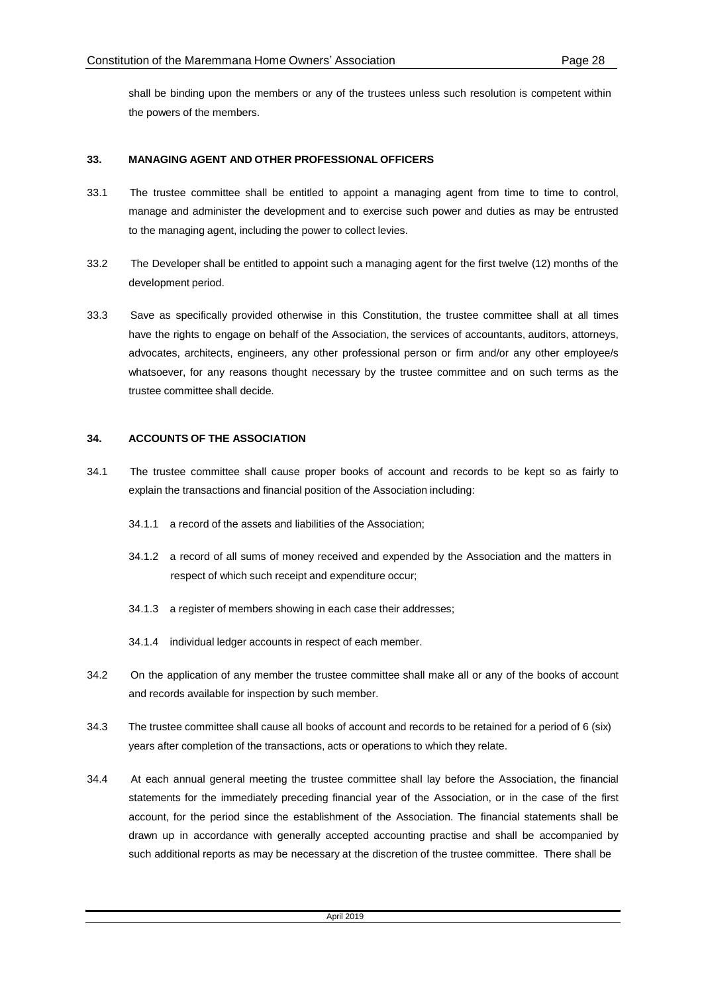shall be binding upon the members or any of the trustees unless such resolution is competent within the powers of the members.

## **33. MANAGING AGENT AND OTHER PROFESSIONAL OFFICERS**

- 33.1 The trustee committee shall be entitled to appoint a managing agent from time to time to control, manage and administer the development and to exercise such power and duties as may be entrusted to the managing agent, including the power to collect levies.
- 33.2 The Developer shall be entitled to appoint such a managing agent for the first twelve (12) months of the development period.
- 33.3 Save as specifically provided otherwise in this Constitution, the trustee committee shall at all times have the rights to engage on behalf of the Association, the services of accountants, auditors, attorneys, advocates, architects, engineers, any other professional person or firm and/or any other employee/s whatsoever, for any reasons thought necessary by the trustee committee and on such terms as the trustee committee shall decide.

## **34. ACCOUNTS OF THE ASSOCIATION**

- 34.1 The trustee committee shall cause proper books of account and records to be kept so as fairly to explain the transactions and financial position of the Association including:
	- 34.1.1 a record of the assets and liabilities of the Association;
	- 34.1.2 a record of all sums of money received and expended by the Association and the matters in respect of which such receipt and expenditure occur;
	- 34.1.3 a register of members showing in each case their addresses;
	- 34.1.4 individual ledger accounts in respect of each member.
- 34.2 On the application of any member the trustee committee shall make all or any of the books of account and records available for inspection by such member.
- 34.3 The trustee committee shall cause all books of account and records to be retained for a period of 6 (six) years after completion of the transactions, acts or operations to which they relate.
- 34.4 At each annual general meeting the trustee committee shall lay before the Association, the financial statements for the immediately preceding financial year of the Association, or in the case of the first account, for the period since the establishment of the Association. The financial statements shall be drawn up in accordance with generally accepted accounting practise and shall be accompanied by such additional reports as may be necessary at the discretion of the trustee committee. There shall be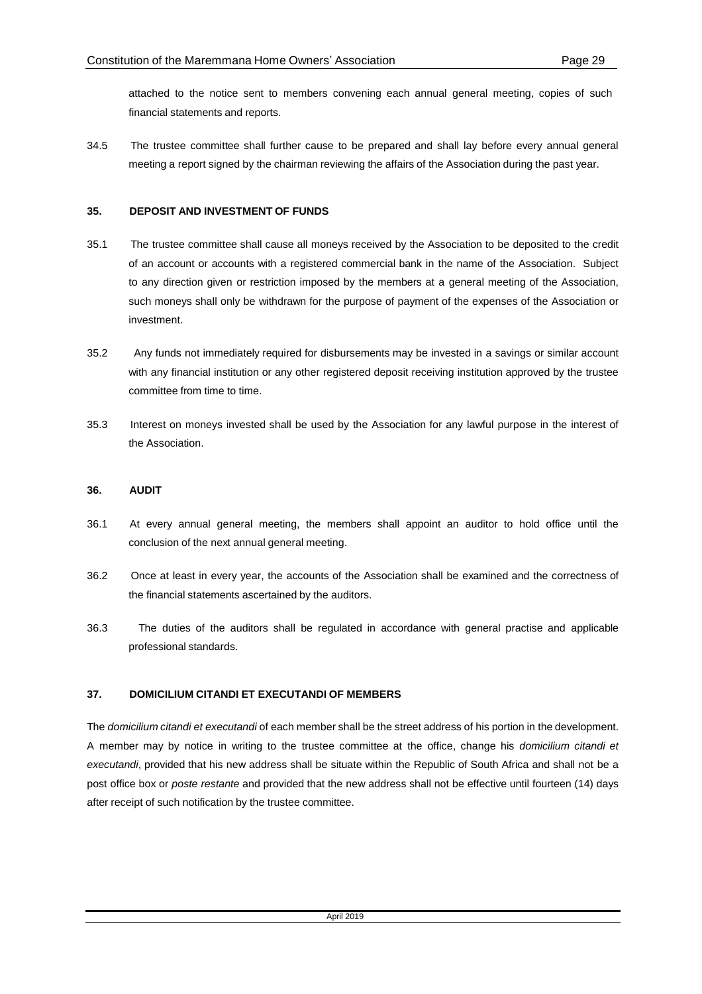attached to the notice sent to members convening each annual general meeting, copies of such financial statements and reports.

34.5 The trustee committee shall further cause to be prepared and shall lay before every annual general meeting a report signed by the chairman reviewing the affairs of the Association during the past year.

## **35. DEPOSIT AND INVESTMENT OF FUNDS**

- 35.1 The trustee committee shall cause all moneys received by the Association to be deposited to the credit of an account or accounts with a registered commercial bank in the name of the Association. Subject to any direction given or restriction imposed by the members at a general meeting of the Association, such moneys shall only be withdrawn for the purpose of payment of the expenses of the Association or investment.
- 35.2 Any funds not immediately required for disbursements may be invested in a savings or similar account with any financial institution or any other registered deposit receiving institution approved by the trustee committee from time to time.
- 35.3 Interest on moneys invested shall be used by the Association for any lawful purpose in the interest of the Association.

## **36. AUDIT**

- 36.1 At every annual general meeting, the members shall appoint an auditor to hold office until the conclusion of the next annual general meeting.
- 36.2 Once at least in every year, the accounts of the Association shall be examined and the correctness of the financial statements ascertained by the auditors.
- 36.3 The duties of the auditors shall be regulated in accordance with general practise and applicable professional standards.

## **37. DOMICILIUM CITANDI ET EXECUTANDI OF MEMBERS**

The *domicilium citandi et executandi* of each member shall be the street address of his portion in the development. A member may by notice in writing to the trustee committee at the office, change his *domicilium citandi et executandi*, provided that his new address shall be situate within the Republic of South Africa and shall not be a post office box or *poste restante* and provided that the new address shall not be effective until fourteen (14) days after receipt of such notification by the trustee committee.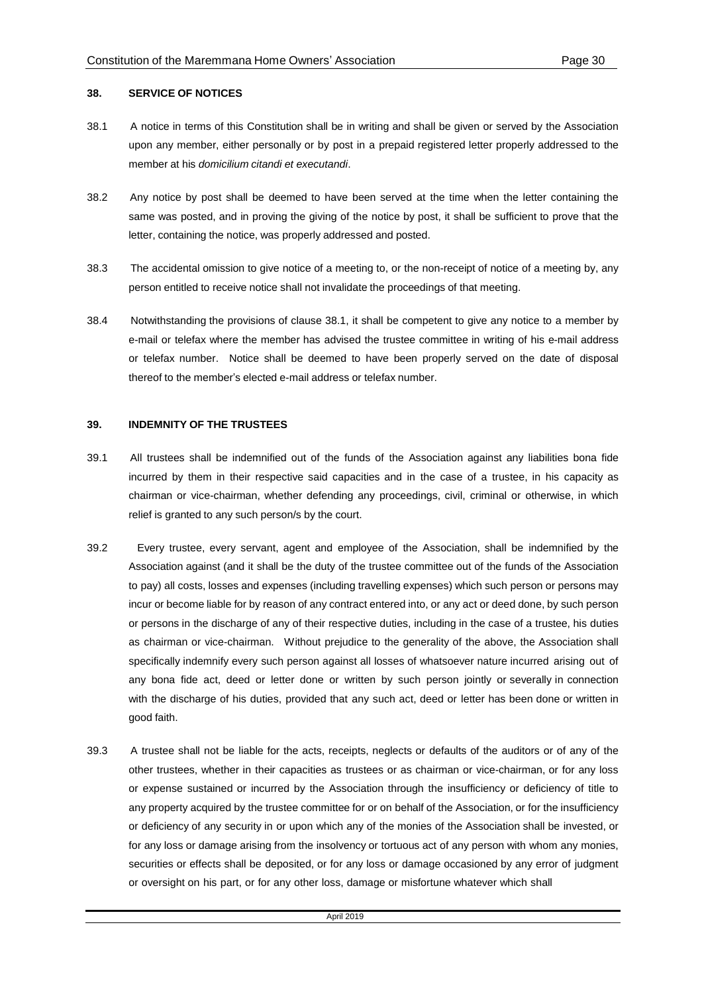#### **38. SERVICE OF NOTICES**

- 38.1 A notice in terms of this Constitution shall be in writing and shall be given or served by the Association upon any member, either personally or by post in a prepaid registered letter properly addressed to the member at his *domicilium citandi et executandi*.
- 38.2 Any notice by post shall be deemed to have been served at the time when the letter containing the same was posted, and in proving the giving of the notice by post, it shall be sufficient to prove that the letter, containing the notice, was properly addressed and posted.
- 38.3 The accidental omission to give notice of a meeting to, or the non-receipt of notice of a meeting by, any person entitled to receive notice shall not invalidate the proceedings of that meeting.
- 38.4 Notwithstanding the provisions of clause 38.1, it shall be competent to give any notice to a member by e-mail or telefax where the member has advised the trustee committee in writing of his e-mail address or telefax number. Notice shall be deemed to have been properly served on the date of disposal thereof to the member's elected e-mail address or telefax number.

#### **39. INDEMNITY OF THE TRUSTEES**

- 39.1 All trustees shall be indemnified out of the funds of the Association against any liabilities bona fide incurred by them in their respective said capacities and in the case of a trustee, in his capacity as chairman or vice-chairman, whether defending any proceedings, civil, criminal or otherwise, in which relief is granted to any such person/s by the court.
- 39.2 Every trustee, every servant, agent and employee of the Association, shall be indemnified by the Association against (and it shall be the duty of the trustee committee out of the funds of the Association to pay) all costs, losses and expenses (including travelling expenses) which such person or persons may incur or become liable for by reason of any contract entered into, or any act or deed done, by such person or persons in the discharge of any of their respective duties, including in the case of a trustee, his duties as chairman or vice-chairman. Without prejudice to the generality of the above, the Association shall specifically indemnify every such person against all losses of whatsoever nature incurred arising out of any bona fide act, deed or letter done or written by such person jointly or severally in connection with the discharge of his duties, provided that any such act, deed or letter has been done or written in good faith.
- 39.3 A trustee shall not be liable for the acts, receipts, neglects or defaults of the auditors or of any of the other trustees, whether in their capacities as trustees or as chairman or vice-chairman, or for any loss or expense sustained or incurred by the Association through the insufficiency or deficiency of title to any property acquired by the trustee committee for or on behalf of the Association, or for the insufficiency or deficiency of any security in or upon which any of the monies of the Association shall be invested, or for any loss or damage arising from the insolvency or tortuous act of any person with whom any monies, securities or effects shall be deposited, or for any loss or damage occasioned by any error of judgment or oversight on his part, or for any other loss, damage or misfortune whatever which shall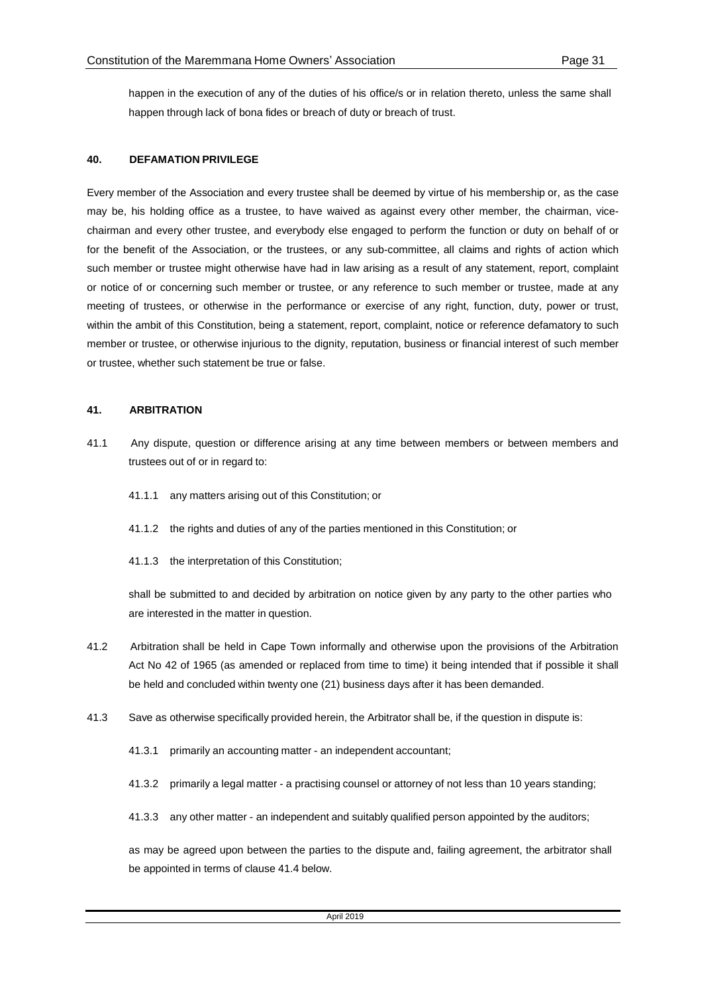happen in the execution of any of the duties of his office/s or in relation thereto, unless the same shall happen through lack of bona fides or breach of duty or breach of trust.

#### **40. DEFAMATION PRIVILEGE**

Every member of the Association and every trustee shall be deemed by virtue of his membership or, as the case may be, his holding office as a trustee, to have waived as against every other member, the chairman, vicechairman and every other trustee, and everybody else engaged to perform the function or duty on behalf of or for the benefit of the Association, or the trustees, or any sub-committee, all claims and rights of action which such member or trustee might otherwise have had in law arising as a result of any statement, report, complaint or notice of or concerning such member or trustee, or any reference to such member or trustee, made at any meeting of trustees, or otherwise in the performance or exercise of any right, function, duty, power or trust, within the ambit of this Constitution, being a statement, report, complaint, notice or reference defamatory to such member or trustee, or otherwise injurious to the dignity, reputation, business or financial interest of such member or trustee, whether such statement be true or false.

#### **41. ARBITRATION**

- 41.1 Any dispute, question or difference arising at any time between members or between members and trustees out of or in regard to:
	- 41.1.1 any matters arising out of this Constitution; or
	- 41.1.2 the rights and duties of any of the parties mentioned in this Constitution; or
	- 41.1.3 the interpretation of this Constitution;

shall be submitted to and decided by arbitration on notice given by any party to the other parties who are interested in the matter in question.

- 41.2 Arbitration shall be held in Cape Town informally and otherwise upon the provisions of the Arbitration Act No 42 of 1965 (as amended or replaced from time to time) it being intended that if possible it shall be held and concluded within twenty one (21) business days after it has been demanded.
- 41.3 Save as otherwise specifically provided herein, the Arbitrator shall be, if the question in dispute is:
	- 41.3.1 primarily an accounting matter an independent accountant;
	- 41.3.2 primarily a legal matter a practising counsel or attorney of not less than 10 years standing;
	- 41.3.3 any other matter an independent and suitably qualified person appointed by the auditors;

as may be agreed upon between the parties to the dispute and, failing agreement, the arbitrator shall be appointed in terms of clause 41.4 below.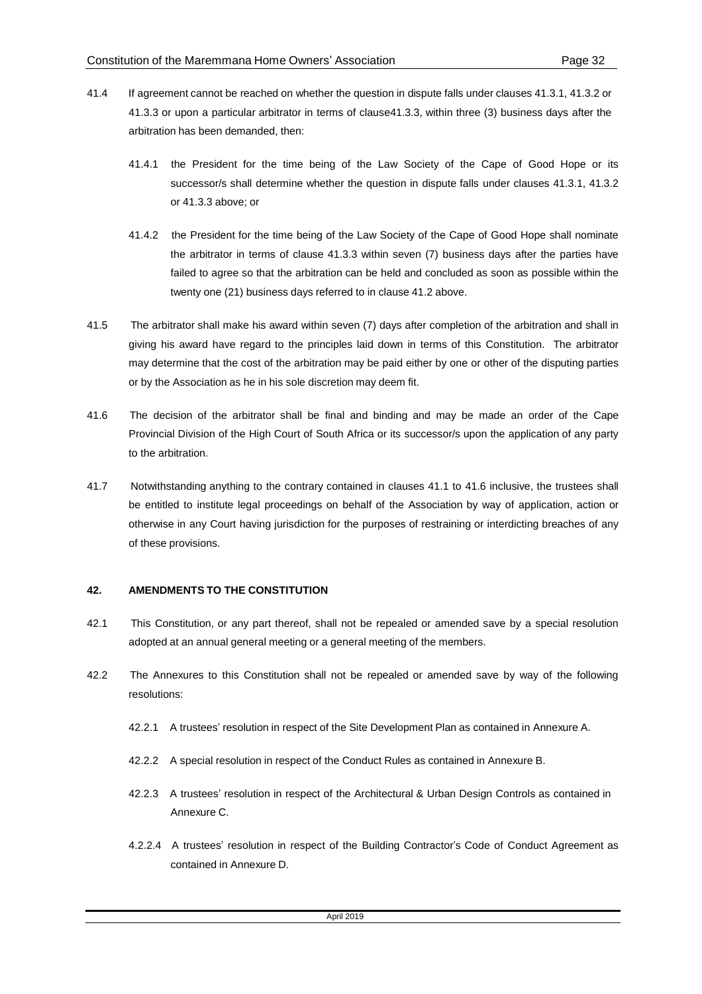- 41.4 If agreement cannot be reached on whether the question in dispute falls under clauses 41.3.1, 41.3.2 or 41.3.3 or upon a particular arbitrator in terms of clause41.3.3, within three (3) business days after the arbitration has been demanded, then:
	- 41.4.1 the President for the time being of the Law Society of the Cape of Good Hope or its successor/s shall determine whether the question in dispute falls under clauses 41.3.1, 41.3.2 or 41.3.3 above; or
	- 41.4.2 the President for the time being of the Law Society of the Cape of Good Hope shall nominate the arbitrator in terms of clause 41.3.3 within seven (7) business days after the parties have failed to agree so that the arbitration can be held and concluded as soon as possible within the twenty one (21) business days referred to in clause 41.2 above.
- 41.5 The arbitrator shall make his award within seven (7) days after completion of the arbitration and shall in giving his award have regard to the principles laid down in terms of this Constitution. The arbitrator may determine that the cost of the arbitration may be paid either by one or other of the disputing parties or by the Association as he in his sole discretion may deem fit.
- 41.6 The decision of the arbitrator shall be final and binding and may be made an order of the Cape Provincial Division of the High Court of South Africa or its successor/s upon the application of any party to the arbitration.
- 41.7 Notwithstanding anything to the contrary contained in clauses 41.1 to 41.6 inclusive, the trustees shall be entitled to institute legal proceedings on behalf of the Association by way of application, action or otherwise in any Court having jurisdiction for the purposes of restraining or interdicting breaches of any of these provisions.

#### **42. AMENDMENTS TO THE CONSTITUTION**

- 42.1 This Constitution, or any part thereof, shall not be repealed or amended save by a special resolution adopted at an annual general meeting or a general meeting of the members.
- 42.2 The Annexures to this Constitution shall not be repealed or amended save by way of the following resolutions:
	- 42.2.1 A trustees' resolution in respect of the Site Development Plan as contained in Annexure A.
	- 42.2.2 A special resolution in respect of the Conduct Rules as contained in Annexure B.
	- 42.2.3 A trustees' resolution in respect of the Architectural & Urban Design Controls as contained in Annexure C.
	- 4.2.2.4 A trustees' resolution in respect of the Building Contractor's Code of Conduct Agreement as contained in Annexure D.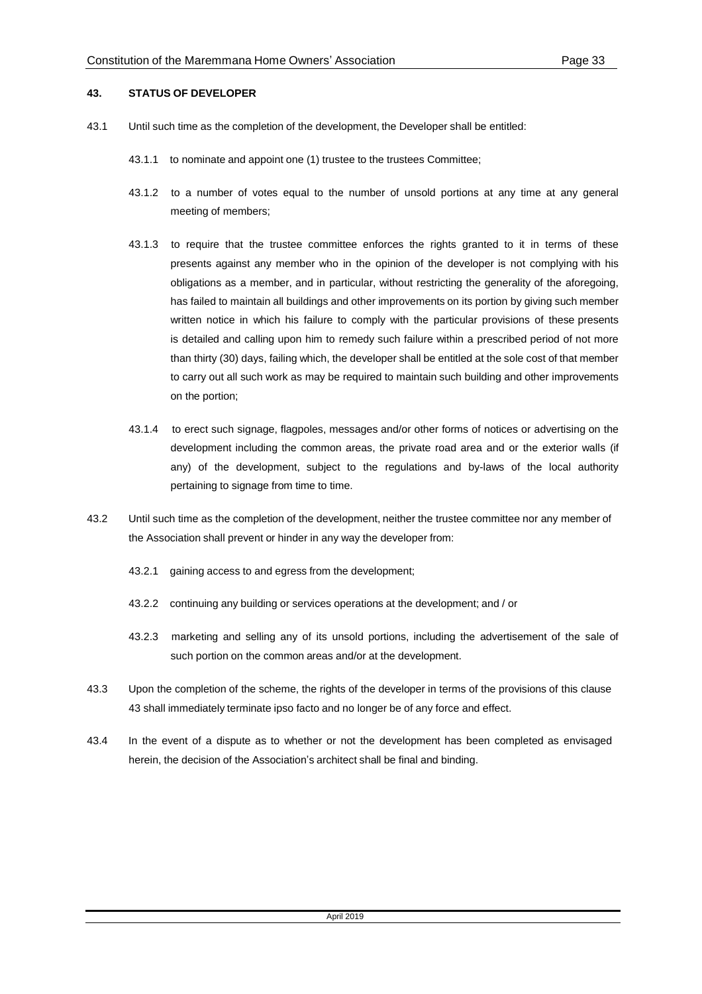#### **43. STATUS OF DEVELOPER**

- 43.1 Until such time as the completion of the development, the Developer shall be entitled:
	- 43.1.1 to nominate and appoint one (1) trustee to the trustees Committee;
	- 43.1.2 to a number of votes equal to the number of unsold portions at any time at any general meeting of members;
	- 43.1.3 to require that the trustee committee enforces the rights granted to it in terms of these presents against any member who in the opinion of the developer is not complying with his obligations as a member, and in particular, without restricting the generality of the aforegoing, has failed to maintain all buildings and other improvements on its portion by giving such member written notice in which his failure to comply with the particular provisions of these presents is detailed and calling upon him to remedy such failure within a prescribed period of not more than thirty (30) days, failing which, the developer shall be entitled at the sole cost of that member to carry out all such work as may be required to maintain such building and other improvements on the portion;
	- 43.1.4 to erect such signage, flagpoles, messages and/or other forms of notices or advertising on the development including the common areas, the private road area and or the exterior walls (if any) of the development, subject to the regulations and by-laws of the local authority pertaining to signage from time to time.
- 43.2 Until such time as the completion of the development, neither the trustee committee nor any member of the Association shall prevent or hinder in any way the developer from:
	- 43.2.1 gaining access to and egress from the development;
	- 43.2.2 continuing any building or services operations at the development; and / or
	- 43.2.3 marketing and selling any of its unsold portions, including the advertisement of the sale of such portion on the common areas and/or at the development.
- 43.3 Upon the completion of the scheme, the rights of the developer in terms of the provisions of this clause 43 shall immediately terminate ipso facto and no longer be of any force and effect.
- 43.4 In the event of a dispute as to whether or not the development has been completed as envisaged herein, the decision of the Association's architect shall be final and binding.